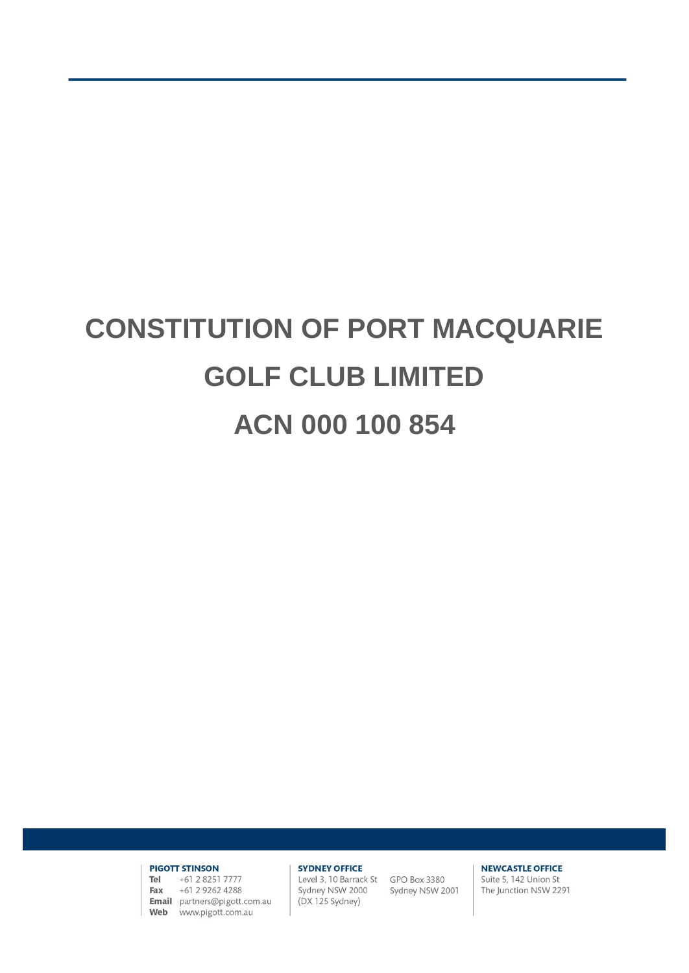# **CONSTITUTION OF PORT MACQUARIE GOLF CLUB LIMITED ACN 000 100 854**

#### **PIGOTT STINSON**

Tel +61 2 8251 7777 +61 2 9262 4288 Fax Email partners@pigott.com.au Web www.pigott.com.au

#### **SYDNEY OFFICE**

Level 3, 10 Barrack St GPO Box 3380 Sydney NSW 2000 (DX 125 Sydney)

Sydney NSW 2001

#### **NEWCASTLE OFFICE**

Suite 5, 142 Union St The Junction NSW 2291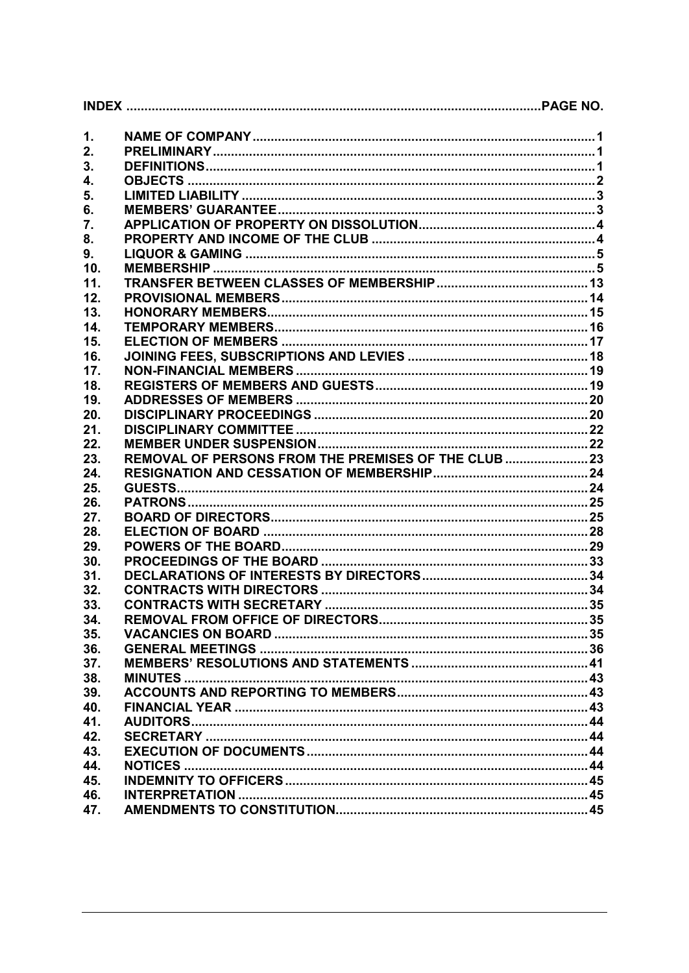| 1.  |                                                  |  |
|-----|--------------------------------------------------|--|
| 2.  |                                                  |  |
| 3.  |                                                  |  |
| 4.  |                                                  |  |
| 5.  |                                                  |  |
| 6.  |                                                  |  |
| 7.  |                                                  |  |
| 8.  |                                                  |  |
| 9.  |                                                  |  |
| 10. |                                                  |  |
| 11. |                                                  |  |
| 12. |                                                  |  |
| 13. |                                                  |  |
| 14. |                                                  |  |
| 15. |                                                  |  |
| 16. |                                                  |  |
| 17. |                                                  |  |
| 18. |                                                  |  |
| 19. |                                                  |  |
| 20. |                                                  |  |
| 21. |                                                  |  |
| 22. |                                                  |  |
| 23. | REMOVAL OF PERSONS FROM THE PREMISES OF THE CLUB |  |
| 24. |                                                  |  |
| 25. |                                                  |  |
| 26. |                                                  |  |
| 27. |                                                  |  |
| 28. |                                                  |  |
| 29. |                                                  |  |
| 30. |                                                  |  |
| 31. |                                                  |  |
| 32. |                                                  |  |
| 33. |                                                  |  |
| 34. |                                                  |  |
| 35. |                                                  |  |
| 36. |                                                  |  |
| 37. |                                                  |  |
| 38. |                                                  |  |
| 39. |                                                  |  |
| 40. |                                                  |  |
| 41. |                                                  |  |
| 42. |                                                  |  |
| 43. |                                                  |  |
| 44. |                                                  |  |
| 45. |                                                  |  |
| 46. |                                                  |  |
| 47. |                                                  |  |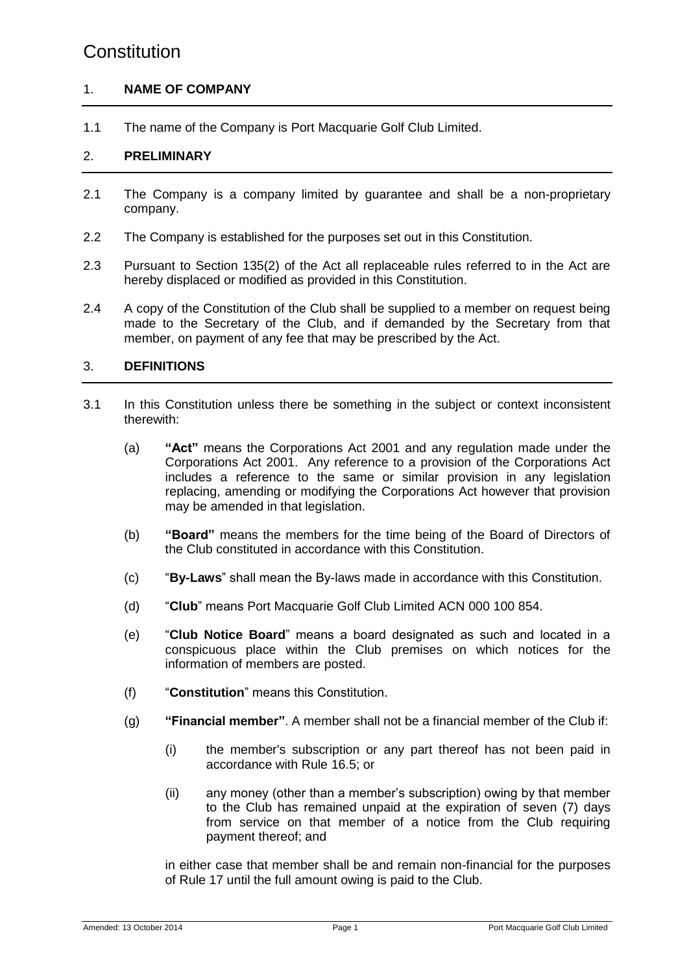# **Constitution**

#### <span id="page-2-0"></span>1. **NAME OF COMPANY**

1.1 The name of the Company is Port Macquarie Golf Club Limited.

#### <span id="page-2-1"></span>2. **PRELIMINARY**

- 2.1 The Company is a company limited by guarantee and shall be a non-proprietary company.
- 2.2 The Company is established for the purposes set out in this Constitution.
- 2.3 Pursuant to Section 135(2) of the Act all replaceable rules referred to in the Act are hereby displaced or modified as provided in this Constitution.
- 2.4 A copy of the Constitution of the Club shall be supplied to a member on request being made to the Secretary of the Club, and if demanded by the Secretary from that member, on payment of any fee that may be prescribed by the Act.

#### <span id="page-2-2"></span>3. **DEFINITIONS**

- 3.1 In this Constitution unless there be something in the subject or context inconsistent therewith:
	- (a) **"Act"** means the Corporations Act 2001 and any regulation made under the Corporations Act 2001. Any reference to a provision of the Corporations Act includes a reference to the same or similar provision in any legislation replacing, amending or modifying the Corporations Act however that provision may be amended in that legislation.
	- (b) **"Board"** means the members for the time being of the Board of Directors of the Club constituted in accordance with this Constitution.
	- (c) "**By-Laws**" shall mean the By-laws made in accordance with this Constitution.
	- (d) "**Club**" means Port Macquarie Golf Club Limited ACN 000 100 854.
	- (e) "**Club Notice Board**" means a board designated as such and located in a conspicuous place within the Club premises on which notices for the information of members are posted.
	- (f) "**Constitution**" means this Constitution.
	- (g) **"Financial member"**. A member shall not be a financial member of the Club if:
		- (i) the member's subscription or any part thereof has not been paid in accordance with Rule [16.5;](#page-19-1) or
		- (ii) any money (other than a member's subscription) owing by that member to the Club has remained unpaid at the expiration of seven (7) days from service on that member of a notice from the Club requiring payment thereof; and

in either case that member shall be and remain non-financial for the purposes of Rule [17](#page-20-0) until the full amount owing is paid to the Club.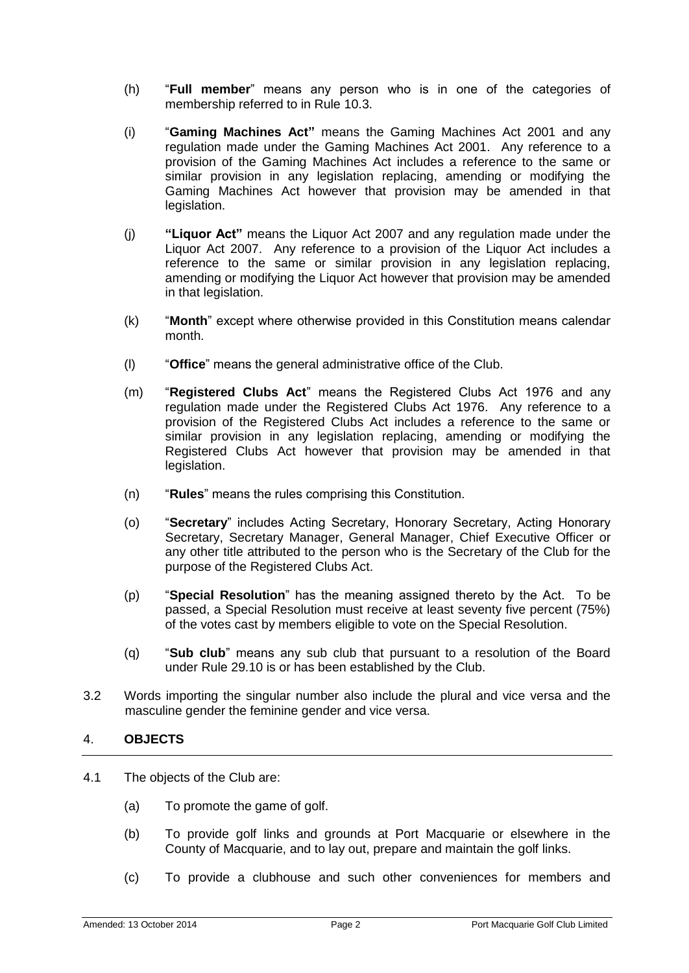- (h) "**Full member**" means any person who is in one of the categories of membership referred to in Rule [10.3.](#page-7-0)
- (i) "**Gaming Machines Act"** means the Gaming Machines Act 2001 and any regulation made under the Gaming Machines Act 2001. Any reference to a provision of the Gaming Machines Act includes a reference to the same or similar provision in any legislation replacing, amending or modifying the Gaming Machines Act however that provision may be amended in that legislation.
- (j) **"Liquor Act"** means the Liquor Act 2007 and any regulation made under the Liquor Act 2007. Any reference to a provision of the Liquor Act includes a reference to the same or similar provision in any legislation replacing, amending or modifying the Liquor Act however that provision may be amended in that legislation.
- (k) "**Month**" except where otherwise provided in this Constitution means calendar month.
- (l) "**Office**" means the general administrative office of the Club.
- (m) "**Registered Clubs Act**" means the Registered Clubs Act 1976 and any regulation made under the Registered Clubs Act 1976. Any reference to a provision of the Registered Clubs Act includes a reference to the same or similar provision in any legislation replacing, amending or modifying the Registered Clubs Act however that provision may be amended in that legislation.
- (n) "**Rules**" means the rules comprising this Constitution.
- (o) "**Secretary**" includes Acting Secretary, Honorary Secretary, Acting Honorary Secretary, Secretary Manager, General Manager, Chief Executive Officer or any other title attributed to the person who is the Secretary of the Club for the purpose of the Registered Clubs Act.
- (p) "**Special Resolution**" has the meaning assigned thereto by the Act. To be passed, a Special Resolution must receive at least seventy five percent (75%) of the votes cast by members eligible to vote on the Special Resolution.
- (q) "**Sub club**" means any sub club that pursuant to a resolution of the Board under Rule [29.10](#page-32-0) is or has been established by the Club.
- 3.2 Words importing the singular number also include the plural and vice versa and the masculine gender the feminine gender and vice versa.

## <span id="page-3-0"></span>4. **OBJECTS**

- 4.1 The objects of the Club are:
	- (a) To promote the game of golf.
	- (b) To provide golf links and grounds at Port Macquarie or elsewhere in the County of Macquarie, and to lay out, prepare and maintain the golf links.
	- (c) To provide a clubhouse and such other conveniences for members and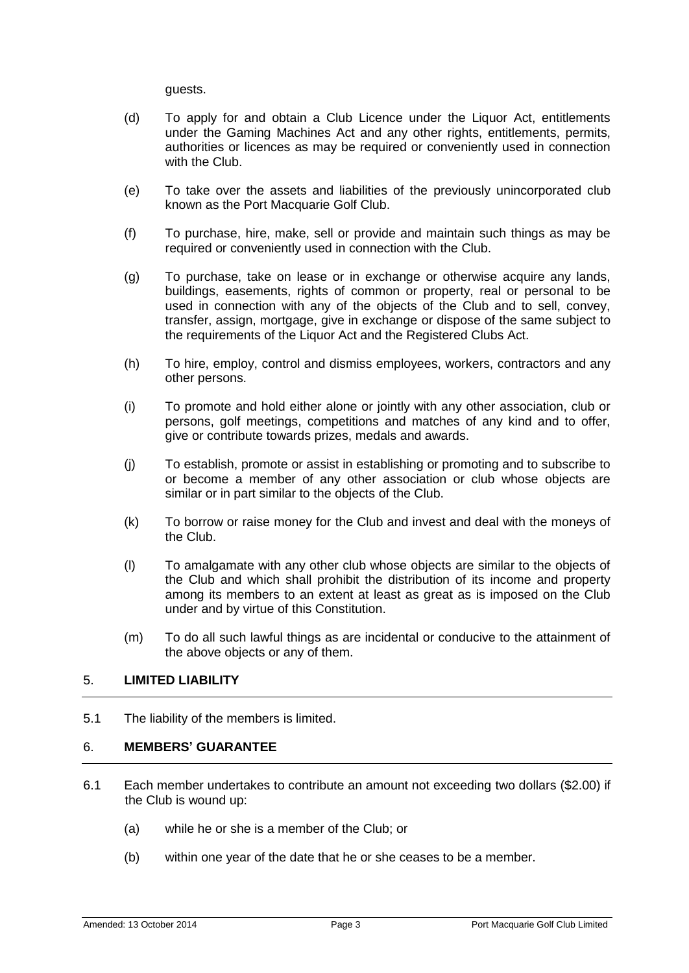guests.

- (d) To apply for and obtain a Club Licence under the Liquor Act, entitlements under the Gaming Machines Act and any other rights, entitlements, permits, authorities or licences as may be required or conveniently used in connection with the Club.
- (e) To take over the assets and liabilities of the previously unincorporated club known as the Port Macquarie Golf Club.
- (f) To purchase, hire, make, sell or provide and maintain such things as may be required or conveniently used in connection with the Club.
- (g) To purchase, take on lease or in exchange or otherwise acquire any lands, buildings, easements, rights of common or property, real or personal to be used in connection with any of the objects of the Club and to sell, convey, transfer, assign, mortgage, give in exchange or dispose of the same subject to the requirements of the Liquor Act and the Registered Clubs Act.
- (h) To hire, employ, control and dismiss employees, workers, contractors and any other persons.
- (i) To promote and hold either alone or jointly with any other association, club or persons, golf meetings, competitions and matches of any kind and to offer, give or contribute towards prizes, medals and awards.
- (j) To establish, promote or assist in establishing or promoting and to subscribe to or become a member of any other association or club whose objects are similar or in part similar to the objects of the Club.
- (k) To borrow or raise money for the Club and invest and deal with the moneys of the Club.
- (l) To amalgamate with any other club whose objects are similar to the objects of the Club and which shall prohibit the distribution of its income and property among its members to an extent at least as great as is imposed on the Club under and by virtue of this Constitution.
- (m) To do all such lawful things as are incidental or conducive to the attainment of the above objects or any of them.

#### <span id="page-4-0"></span>5. **LIMITED LIABILITY**

5.1 The liability of the members is limited.

### <span id="page-4-1"></span>6. **MEMBERS' GUARANTEE**

- <span id="page-4-2"></span>6.1 Each member undertakes to contribute an amount not exceeding two dollars (\$2.00) if the Club is wound up:
	- (a) while he or she is a member of the Club; or
	- (b) within one year of the date that he or she ceases to be a member.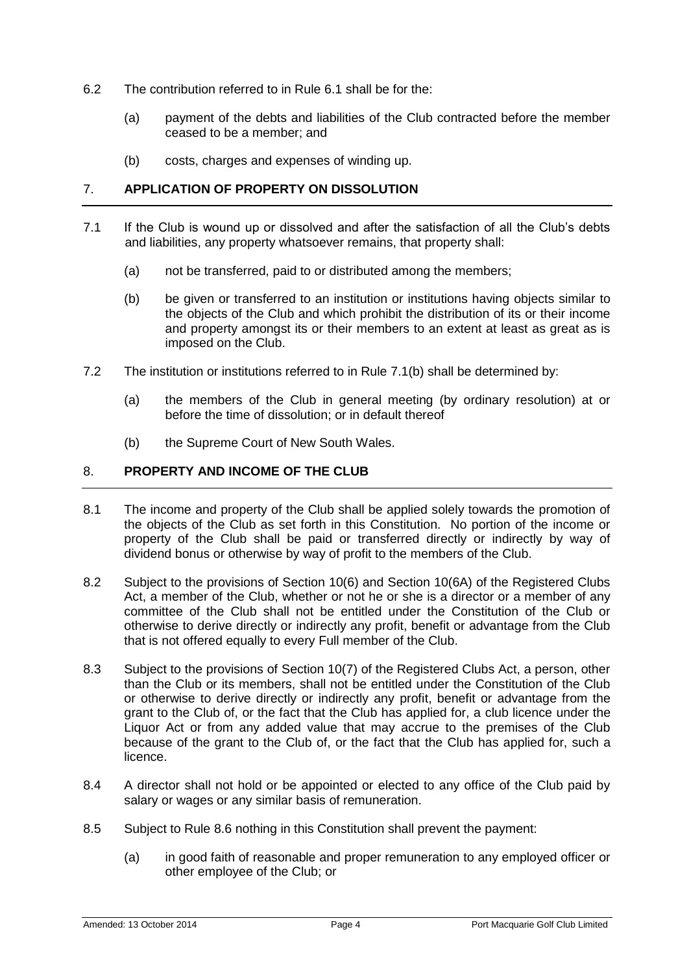- 6.2 The contribution referred to in Rule [6.1](#page-4-2) shall be for the:
	- (a) payment of the debts and liabilities of the Club contracted before the member ceased to be a member; and
	- (b) costs, charges and expenses of winding up.

#### <span id="page-5-0"></span>7. **APPLICATION OF PROPERTY ON DISSOLUTION**

- <span id="page-5-2"></span>7.1 If the Club is wound up or dissolved and after the satisfaction of all the Club's debts and liabilities, any property whatsoever remains, that property shall:
	- (a) not be transferred, paid to or distributed among the members;
	- (b) be given or transferred to an institution or institutions having objects similar to the objects of the Club and which prohibit the distribution of its or their income and property amongst its or their members to an extent at least as great as is imposed on the Club.
- 7.2 The institution or institutions referred to in Rule [7.1\(b\)](#page-5-2) shall be determined by:
	- (a) the members of the Club in general meeting (by ordinary resolution) at or before the time of dissolution; or in default thereof
	- (b) the Supreme Court of New South Wales.

#### <span id="page-5-1"></span>8. **PROPERTY AND INCOME OF THE CLUB**

- 8.1 The income and property of the Club shall be applied solely towards the promotion of the objects of the Club as set forth in this Constitution. No portion of the income or property of the Club shall be paid or transferred directly or indirectly by way of dividend bonus or otherwise by way of profit to the members of the Club.
- 8.2 Subject to the provisions of Section 10(6) and Section 10(6A) of the Registered Clubs Act, a member of the Club, whether or not he or she is a director or a member of any committee of the Club shall not be entitled under the Constitution of the Club or otherwise to derive directly or indirectly any profit, benefit or advantage from the Club that is not offered equally to every Full member of the Club.
- 8.3 Subject to the provisions of Section 10(7) of the Registered Clubs Act, a person, other than the Club or its members, shall not be entitled under the Constitution of the Club or otherwise to derive directly or indirectly any profit, benefit or advantage from the grant to the Club of, or the fact that the Club has applied for, a club licence under the Liquor Act or from any added value that may accrue to the premises of the Club because of the grant to the Club of, or the fact that the Club has applied for, such a licence.
- 8.4 A director shall not hold or be appointed or elected to any office of the Club paid by salary or wages or any similar basis of remuneration.
- 8.5 Subject to Rule [8.6](#page-6-2) nothing in this Constitution shall prevent the payment:
	- (a) in good faith of reasonable and proper remuneration to any employed officer or other employee of the Club; or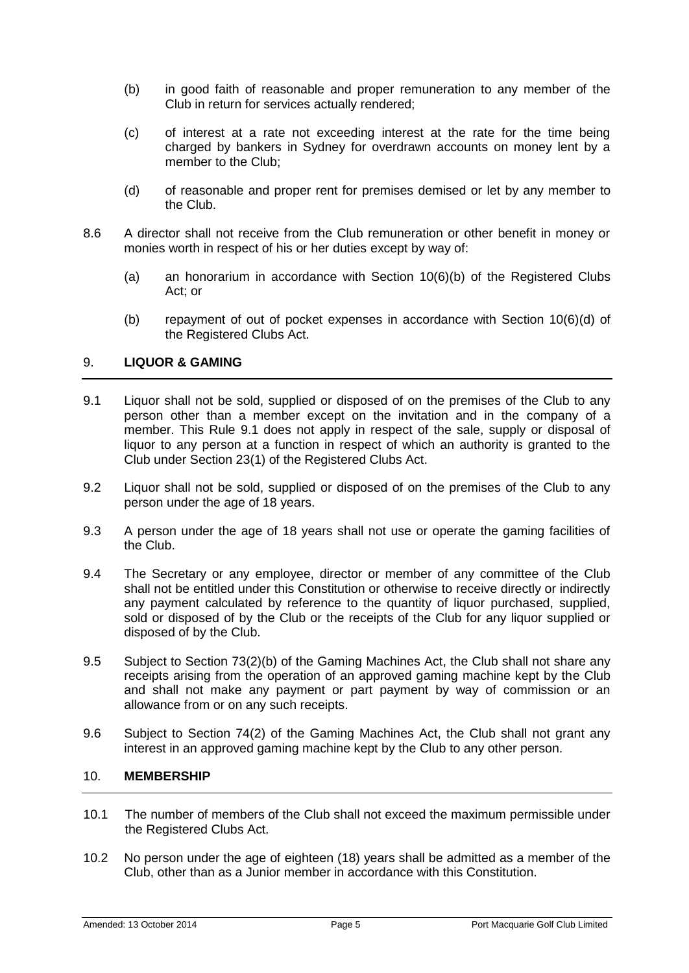- (b) in good faith of reasonable and proper remuneration to any member of the Club in return for services actually rendered;
- (c) of interest at a rate not exceeding interest at the rate for the time being charged by bankers in Sydney for overdrawn accounts on money lent by a member to the Club;
- (d) of reasonable and proper rent for premises demised or let by any member to the Club.
- <span id="page-6-2"></span>8.6 A director shall not receive from the Club remuneration or other benefit in money or monies worth in respect of his or her duties except by way of:
	- (a) an honorarium in accordance with Section 10(6)(b) of the Registered Clubs Act; or
	- (b) repayment of out of pocket expenses in accordance with Section 10(6)(d) of the Registered Clubs Act.

#### <span id="page-6-0"></span>9. **LIQUOR & GAMING**

- <span id="page-6-3"></span>9.1 Liquor shall not be sold, supplied or disposed of on the premises of the Club to any person other than a member except on the invitation and in the company of a member. This Rule [9.1](#page-6-3) does not apply in respect of the sale, supply or disposal of liquor to any person at a function in respect of which an authority is granted to the Club under Section 23(1) of the Registered Clubs Act.
- 9.2 Liquor shall not be sold, supplied or disposed of on the premises of the Club to any person under the age of 18 years.
- 9.3 A person under the age of 18 years shall not use or operate the gaming facilities of the Club.
- 9.4 The Secretary or any employee, director or member of any committee of the Club shall not be entitled under this Constitution or otherwise to receive directly or indirectly any payment calculated by reference to the quantity of liquor purchased, supplied, sold or disposed of by the Club or the receipts of the Club for any liquor supplied or disposed of by the Club.
- 9.5 Subject to Section 73(2)(b) of the Gaming Machines Act, the Club shall not share any receipts arising from the operation of an approved gaming machine kept by the Club and shall not make any payment or part payment by way of commission or an allowance from or on any such receipts.
- 9.6 Subject to Section 74(2) of the Gaming Machines Act, the Club shall not grant any interest in an approved gaming machine kept by the Club to any other person.

#### <span id="page-6-1"></span>10. **MEMBERSHIP**

- 10.1 The number of members of the Club shall not exceed the maximum permissible under the Registered Clubs Act.
- 10.2 No person under the age of eighteen (18) years shall be admitted as a member of the Club, other than as a Junior member in accordance with this Constitution.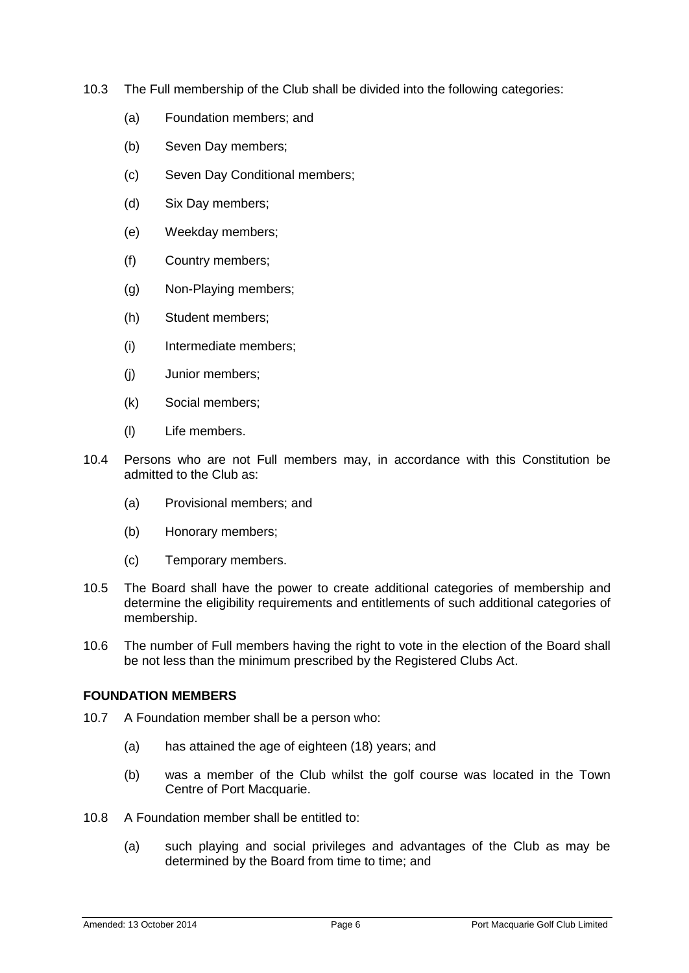- <span id="page-7-0"></span>10.3 The Full membership of the Club shall be divided into the following categories:
	- (a) Foundation members; and
	- (b) Seven Day members;
	- (c) Seven Day Conditional members;
	- (d) Six Day members;
	- (e) Weekday members;
	- (f) Country members;
	- (g) Non-Playing members;
	- (h) Student members;
	- (i) Intermediate members;
	- (j) Junior members;
	- (k) Social members;
	- (l) Life members.
- 10.4 Persons who are not Full members may, in accordance with this Constitution be admitted to the Club as:
	- (a) Provisional members; and
	- (b) Honorary members;
	- (c) Temporary members.
- 10.5 The Board shall have the power to create additional categories of membership and determine the eligibility requirements and entitlements of such additional categories of membership.
- 10.6 The number of Full members having the right to vote in the election of the Board shall be not less than the minimum prescribed by the Registered Clubs Act.

#### **FOUNDATION MEMBERS**

- 10.7 A Foundation member shall be a person who:
	- (a) has attained the age of eighteen (18) years; and
	- (b) was a member of the Club whilst the golf course was located in the Town Centre of Port Macquarie.
- 10.8 A Foundation member shall be entitled to:
	- (a) such playing and social privileges and advantages of the Club as may be determined by the Board from time to time; and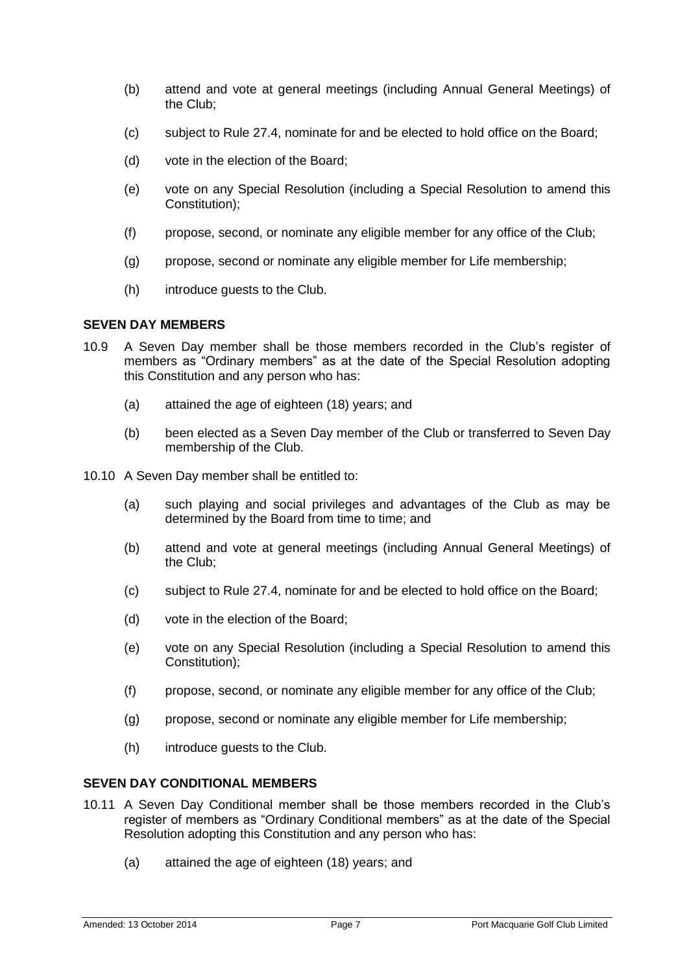- (b) attend and vote at general meetings (including Annual General Meetings) of the Club;
- (c) subject to Rule [27.4,](#page-28-0) nominate for and be elected to hold office on the Board;
- (d) vote in the election of the Board;
- (e) vote on any Special Resolution (including a Special Resolution to amend this Constitution);
- (f) propose, second, or nominate any eligible member for any office of the Club;
- (g) propose, second or nominate any eligible member for Life membership;
- (h) introduce guests to the Club.

#### **SEVEN DAY MEMBERS**

- 10.9 A Seven Day member shall be those members recorded in the Club's register of members as "Ordinary members" as at the date of the Special Resolution adopting this Constitution and any person who has:
	- (a) attained the age of eighteen (18) years; and
	- (b) been elected as a Seven Day member of the Club or transferred to Seven Day membership of the Club.
- 10.10 A Seven Day member shall be entitled to:
	- (a) such playing and social privileges and advantages of the Club as may be determined by the Board from time to time; and
	- (b) attend and vote at general meetings (including Annual General Meetings) of the Club;
	- (c) subject to Rule [27.4,](#page-28-0) nominate for and be elected to hold office on the Board;
	- (d) vote in the election of the Board;
	- (e) vote on any Special Resolution (including a Special Resolution to amend this Constitution);
	- (f) propose, second, or nominate any eligible member for any office of the Club;
	- (g) propose, second or nominate any eligible member for Life membership;
	- (h) introduce guests to the Club.

#### **SEVEN DAY CONDITIONAL MEMBERS**

- 10.11 A Seven Day Conditional member shall be those members recorded in the Club's register of members as "Ordinary Conditional members" as at the date of the Special Resolution adopting this Constitution and any person who has:
	- (a) attained the age of eighteen (18) years; and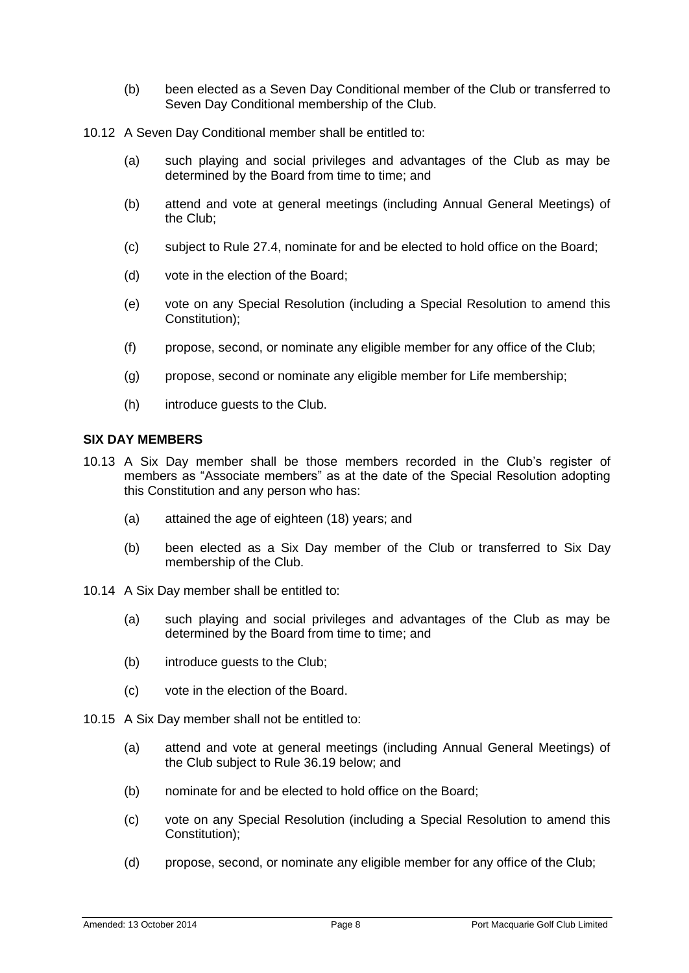- (b) been elected as a Seven Day Conditional member of the Club or transferred to Seven Day Conditional membership of the Club.
- 10.12 A Seven Day Conditional member shall be entitled to:
	- (a) such playing and social privileges and advantages of the Club as may be determined by the Board from time to time; and
	- (b) attend and vote at general meetings (including Annual General Meetings) of the Club;
	- (c) subject to Rule [27.4,](#page-28-0) nominate for and be elected to hold office on the Board;
	- (d) vote in the election of the Board;
	- (e) vote on any Special Resolution (including a Special Resolution to amend this Constitution);
	- (f) propose, second, or nominate any eligible member for any office of the Club;
	- (g) propose, second or nominate any eligible member for Life membership;
	- (h) introduce guests to the Club.

#### **SIX DAY MEMBERS**

- 10.13 A Six Day member shall be those members recorded in the Club's register of members as "Associate members" as at the date of the Special Resolution adopting this Constitution and any person who has:
	- (a) attained the age of eighteen (18) years; and
	- (b) been elected as a Six Day member of the Club or transferred to Six Day membership of the Club.
- 10.14 A Six Day member shall be entitled to:
	- (a) such playing and social privileges and advantages of the Club as may be determined by the Board from time to time; and
	- (b) introduce guests to the Club;
	- (c) vote in the election of the Board.
- 10.15 A Six Day member shall not be entitled to:
	- (a) attend and vote at general meetings (including Annual General Meetings) of the Club subject to Rule [36.19](#page-40-0) below; and
	- (b) nominate for and be elected to hold office on the Board;
	- (c) vote on any Special Resolution (including a Special Resolution to amend this Constitution);
	- (d) propose, second, or nominate any eligible member for any office of the Club;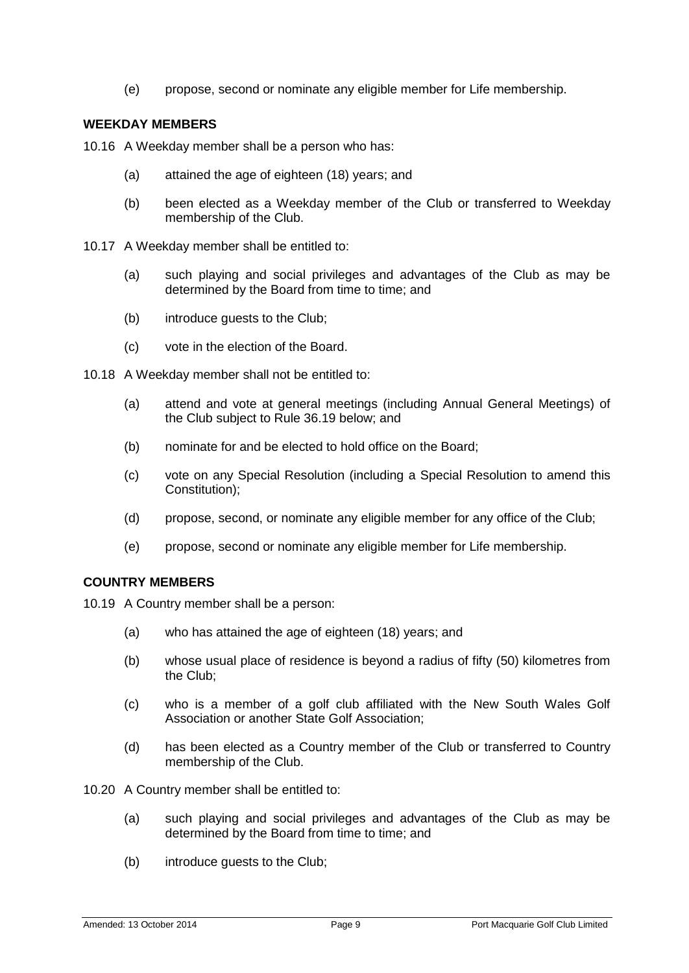(e) propose, second or nominate any eligible member for Life membership.

#### **WEEKDAY MEMBERS**

10.16 A Weekday member shall be a person who has:

- (a) attained the age of eighteen (18) years; and
- (b) been elected as a Weekday member of the Club or transferred to Weekday membership of the Club.
- 10.17 A Weekday member shall be entitled to:
	- (a) such playing and social privileges and advantages of the Club as may be determined by the Board from time to time; and
	- (b) introduce guests to the Club;
	- (c) vote in the election of the Board.
- 10.18 A Weekday member shall not be entitled to:
	- (a) attend and vote at general meetings (including Annual General Meetings) of the Club subject to Rule [36.19](#page-40-0) below; and
	- (b) nominate for and be elected to hold office on the Board;
	- (c) vote on any Special Resolution (including a Special Resolution to amend this Constitution);
	- (d) propose, second, or nominate any eligible member for any office of the Club;
	- (e) propose, second or nominate any eligible member for Life membership.

#### **COUNTRY MEMBERS**

10.19 A Country member shall be a person:

- (a) who has attained the age of eighteen (18) years; and
- (b) whose usual place of residence is beyond a radius of fifty (50) kilometres from the Club;
- (c) who is a member of a golf club affiliated with the New South Wales Golf Association or another State Golf Association;
- (d) has been elected as a Country member of the Club or transferred to Country membership of the Club.
- 10.20 A Country member shall be entitled to:
	- (a) such playing and social privileges and advantages of the Club as may be determined by the Board from time to time; and
	- (b) introduce guests to the Club;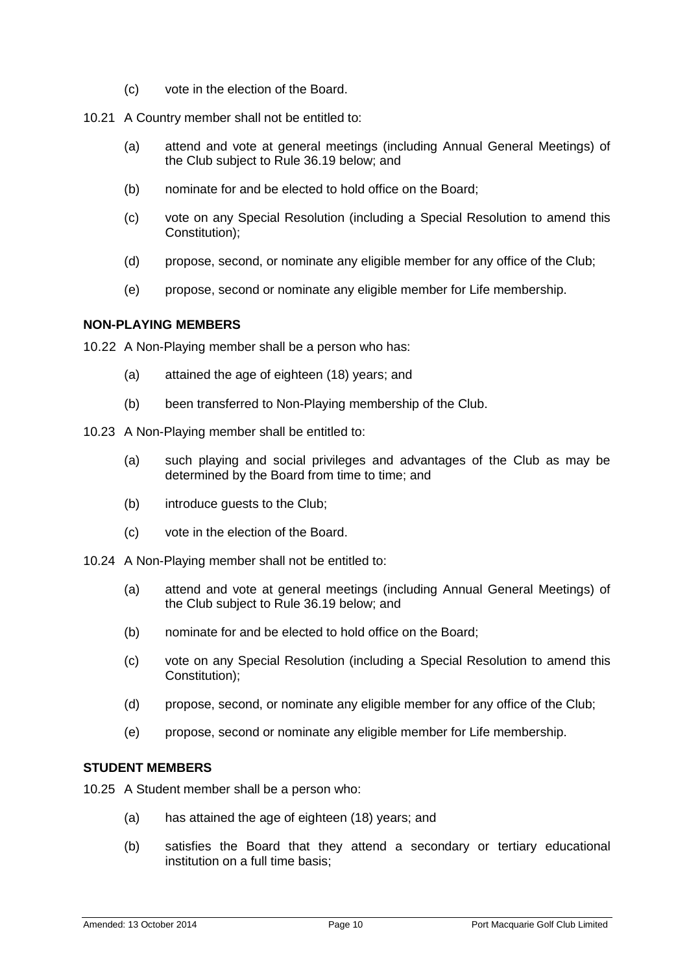- (c) vote in the election of the Board.
- 10.21 A Country member shall not be entitled to:
	- (a) attend and vote at general meetings (including Annual General Meetings) of the Club subject to Rule [36.19](#page-40-0) below; and
	- (b) nominate for and be elected to hold office on the Board;
	- (c) vote on any Special Resolution (including a Special Resolution to amend this Constitution);
	- (d) propose, second, or nominate any eligible member for any office of the Club;
	- (e) propose, second or nominate any eligible member for Life membership.

#### **NON-PLAYING MEMBERS**

10.22 A Non-Playing member shall be a person who has:

- (a) attained the age of eighteen (18) years; and
- (b) been transferred to Non-Playing membership of the Club.
- 10.23 A Non-Playing member shall be entitled to:
	- (a) such playing and social privileges and advantages of the Club as may be determined by the Board from time to time; and
	- (b) introduce guests to the Club;
	- (c) vote in the election of the Board.
- 10.24 A Non-Playing member shall not be entitled to:
	- (a) attend and vote at general meetings (including Annual General Meetings) of the Club subject to Rule [36.19](#page-40-0) below; and
	- (b) nominate for and be elected to hold office on the Board;
	- (c) vote on any Special Resolution (including a Special Resolution to amend this Constitution);
	- (d) propose, second, or nominate any eligible member for any office of the Club;
	- (e) propose, second or nominate any eligible member for Life membership.

#### **STUDENT MEMBERS**

10.25 A Student member shall be a person who:

- (a) has attained the age of eighteen (18) years; and
- (b) satisfies the Board that they attend a secondary or tertiary educational institution on a full time basis;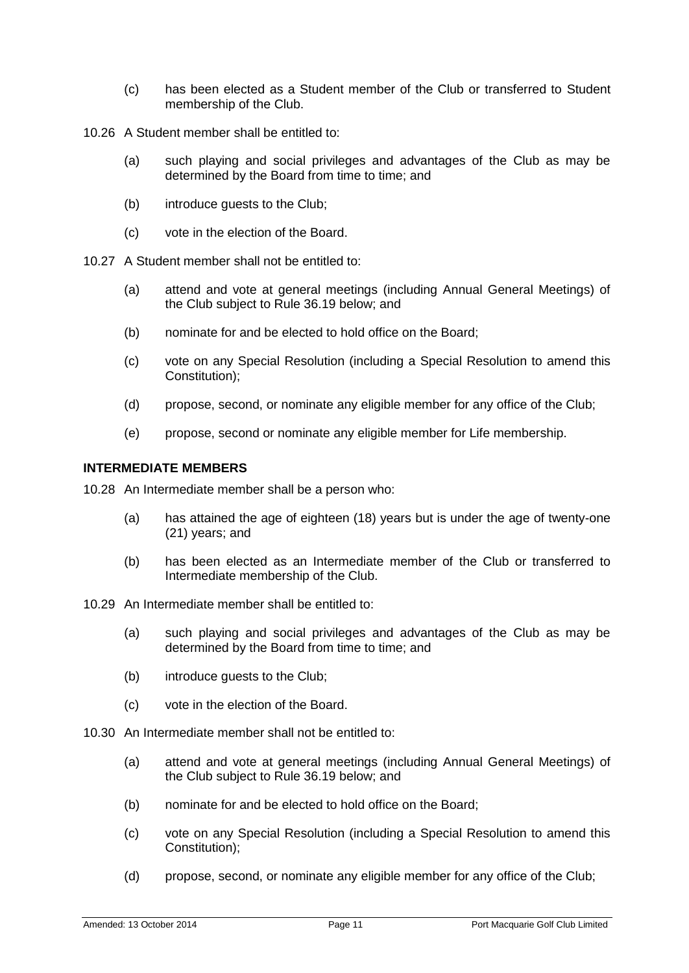- (c) has been elected as a Student member of the Club or transferred to Student membership of the Club.
- 10.26 A Student member shall be entitled to:
	- (a) such playing and social privileges and advantages of the Club as may be determined by the Board from time to time; and
	- (b) introduce guests to the Club;
	- (c) vote in the election of the Board.
- 10.27 A Student member shall not be entitled to:
	- (a) attend and vote at general meetings (including Annual General Meetings) of the Club subject to Rule [36.19](#page-40-0) below; and
	- (b) nominate for and be elected to hold office on the Board;
	- (c) vote on any Special Resolution (including a Special Resolution to amend this Constitution);
	- (d) propose, second, or nominate any eligible member for any office of the Club;
	- (e) propose, second or nominate any eligible member for Life membership.

#### **INTERMEDIATE MEMBERS**

10.28 An Intermediate member shall be a person who:

- (a) has attained the age of eighteen (18) years but is under the age of twenty-one (21) years; and
- (b) has been elected as an Intermediate member of the Club or transferred to Intermediate membership of the Club.
- 10.29 An Intermediate member shall be entitled to:
	- (a) such playing and social privileges and advantages of the Club as may be determined by the Board from time to time; and
	- (b) introduce guests to the Club;
	- (c) vote in the election of the Board.
- 10.30 An Intermediate member shall not be entitled to:
	- (a) attend and vote at general meetings (including Annual General Meetings) of the Club subject to Rule [36.19](#page-40-0) below; and
	- (b) nominate for and be elected to hold office on the Board;
	- (c) vote on any Special Resolution (including a Special Resolution to amend this Constitution);
	- (d) propose, second, or nominate any eligible member for any office of the Club;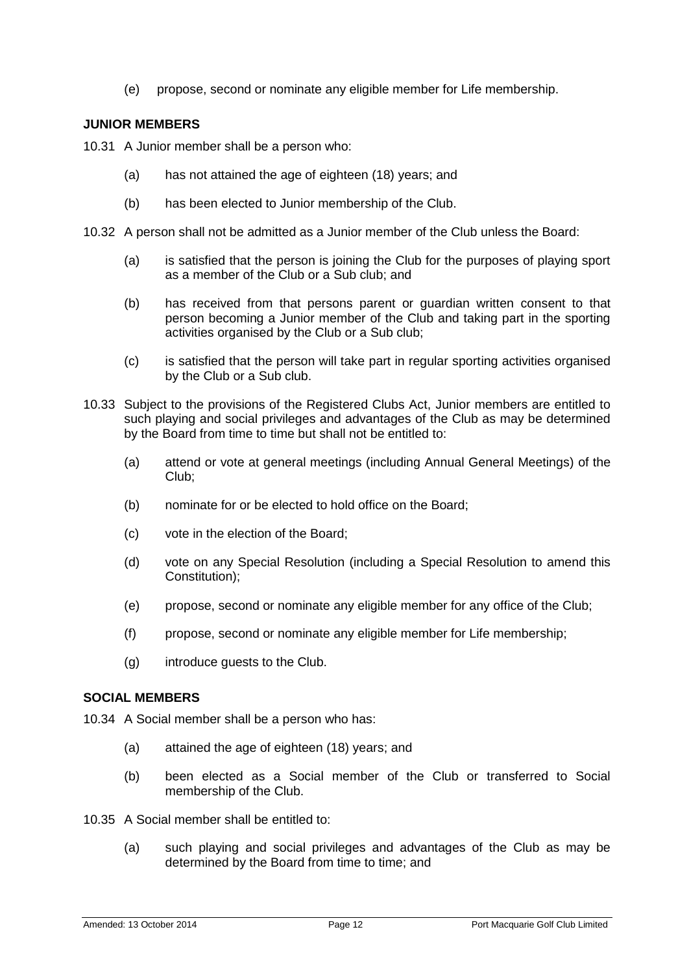(e) propose, second or nominate any eligible member for Life membership.

#### **JUNIOR MEMBERS**

10.31 A Junior member shall be a person who:

- (a) has not attained the age of eighteen (18) years; and
- (b) has been elected to Junior membership of the Club.
- 10.32 A person shall not be admitted as a Junior member of the Club unless the Board:
	- (a) is satisfied that the person is joining the Club for the purposes of playing sport as a member of the Club or a Sub club; and
	- (b) has received from that persons parent or guardian written consent to that person becoming a Junior member of the Club and taking part in the sporting activities organised by the Club or a Sub club;
	- (c) is satisfied that the person will take part in regular sporting activities organised by the Club or a Sub club.
- 10.33 Subject to the provisions of the Registered Clubs Act, Junior members are entitled to such playing and social privileges and advantages of the Club as may be determined by the Board from time to time but shall not be entitled to:
	- (a) attend or vote at general meetings (including Annual General Meetings) of the Club;
	- (b) nominate for or be elected to hold office on the Board;
	- (c) vote in the election of the Board;
	- (d) vote on any Special Resolution (including a Special Resolution to amend this Constitution);
	- (e) propose, second or nominate any eligible member for any office of the Club;
	- (f) propose, second or nominate any eligible member for Life membership;
	- (g) introduce guests to the Club.

#### **SOCIAL MEMBERS**

10.34 A Social member shall be a person who has:

- (a) attained the age of eighteen (18) years; and
- (b) been elected as a Social member of the Club or transferred to Social membership of the Club.
- 10.35 A Social member shall be entitled to:
	- (a) such playing and social privileges and advantages of the Club as may be determined by the Board from time to time; and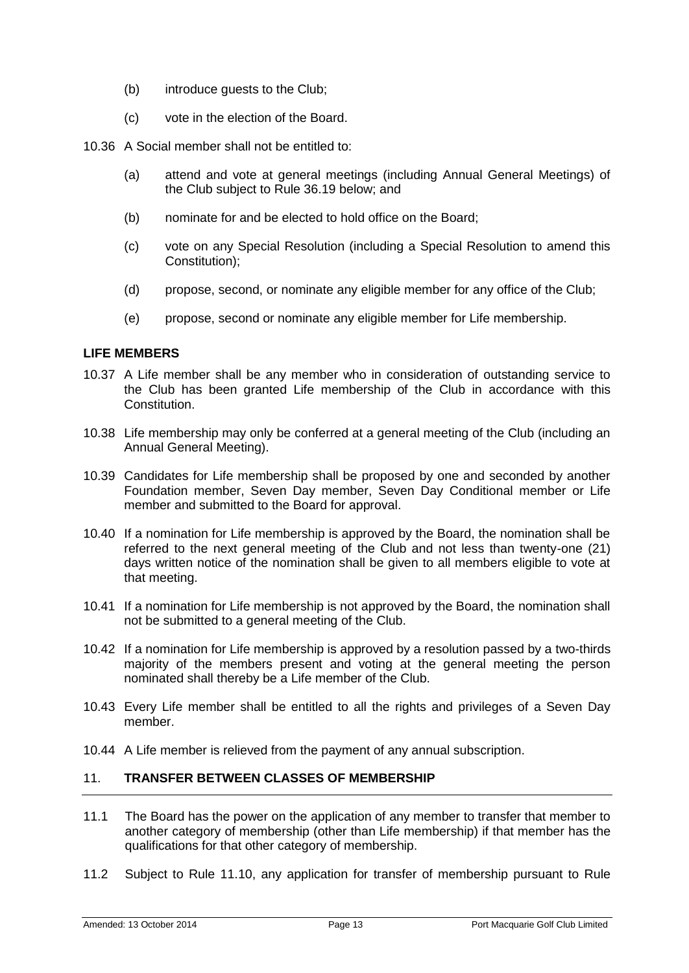- (b) introduce guests to the Club;
- (c) vote in the election of the Board.

10.36 A Social member shall not be entitled to:

- (a) attend and vote at general meetings (including Annual General Meetings) of the Club subject to Rule [36.19](#page-40-0) below; and
- (b) nominate for and be elected to hold office on the Board;
- (c) vote on any Special Resolution (including a Special Resolution to amend this Constitution);
- (d) propose, second, or nominate any eligible member for any office of the Club;
- (e) propose, second or nominate any eligible member for Life membership.

#### **LIFE MEMBERS**

- 10.37 A Life member shall be any member who in consideration of outstanding service to the Club has been granted Life membership of the Club in accordance with this Constitution.
- 10.38 Life membership may only be conferred at a general meeting of the Club (including an Annual General Meeting).
- 10.39 Candidates for Life membership shall be proposed by one and seconded by another Foundation member, Seven Day member, Seven Day Conditional member or Life member and submitted to the Board for approval.
- 10.40 If a nomination for Life membership is approved by the Board, the nomination shall be referred to the next general meeting of the Club and not less than twenty-one (21) days written notice of the nomination shall be given to all members eligible to vote at that meeting.
- 10.41 If a nomination for Life membership is not approved by the Board, the nomination shall not be submitted to a general meeting of the Club.
- 10.42 If a nomination for Life membership is approved by a resolution passed by a two-thirds majority of the members present and voting at the general meeting the person nominated shall thereby be a Life member of the Club.
- 10.43 Every Life member shall be entitled to all the rights and privileges of a Seven Day member.
- 10.44 A Life member is relieved from the payment of any annual subscription.

### <span id="page-14-0"></span>11. **TRANSFER BETWEEN CLASSES OF MEMBERSHIP**

- <span id="page-14-1"></span>11.1 The Board has the power on the application of any member to transfer that member to another category of membership (other than Life membership) if that member has the qualifications for that other category of membership.
- 11.2 Subject to Rule [11.10,](#page-15-1) any application for transfer of membership pursuant to Rule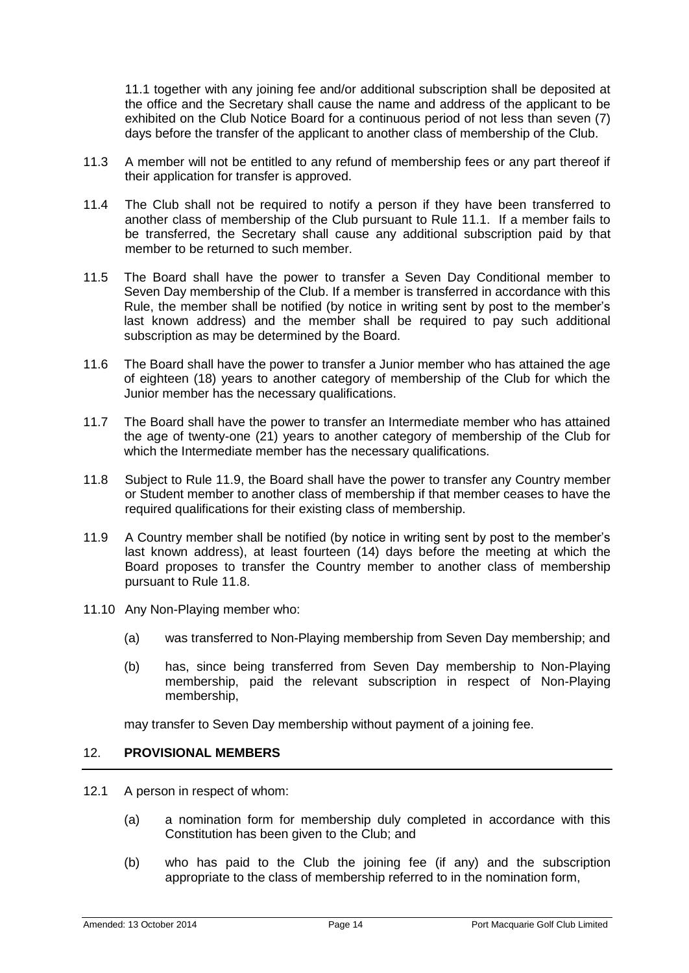[11.1](#page-14-1) together with any joining fee and/or additional subscription shall be deposited at the office and the Secretary shall cause the name and address of the applicant to be exhibited on the Club Notice Board for a continuous period of not less than seven (7) days before the transfer of the applicant to another class of membership of the Club.

- 11.3 A member will not be entitled to any refund of membership fees or any part thereof if their application for transfer is approved.
- 11.4 The Club shall not be required to notify a person if they have been transferred to another class of membership of the Club pursuant to Rule [11.1.](#page-14-1) If a member fails to be transferred, the Secretary shall cause any additional subscription paid by that member to be returned to such member.
- 11.5 The Board shall have the power to transfer a Seven Day Conditional member to Seven Day membership of the Club. If a member is transferred in accordance with this Rule, the member shall be notified (by notice in writing sent by post to the member's last known address) and the member shall be required to pay such additional subscription as may be determined by the Board.
- 11.6 The Board shall have the power to transfer a Junior member who has attained the age of eighteen (18) years to another category of membership of the Club for which the Junior member has the necessary qualifications.
- 11.7 The Board shall have the power to transfer an Intermediate member who has attained the age of twenty-one (21) years to another category of membership of the Club for which the Intermediate member has the necessary qualifications.
- <span id="page-15-3"></span>11.8 Subject to Rule [11.9,](#page-15-2) the Board shall have the power to transfer any Country member or Student member to another class of membership if that member ceases to have the required qualifications for their existing class of membership.
- <span id="page-15-2"></span>11.9 A Country member shall be notified (by notice in writing sent by post to the member's last known address), at least fourteen (14) days before the meeting at which the Board proposes to transfer the Country member to another class of membership pursuant to Rule [11.8.](#page-15-3)
- <span id="page-15-1"></span>11.10 Any Non-Playing member who:
	- (a) was transferred to Non-Playing membership from Seven Day membership; and
	- (b) has, since being transferred from Seven Day membership to Non-Playing membership, paid the relevant subscription in respect of Non-Playing membership,

may transfer to Seven Day membership without payment of a joining fee.

#### <span id="page-15-0"></span>12. **PROVISIONAL MEMBERS**

- 12.1 A person in respect of whom:
	- (a) a nomination form for membership duly completed in accordance with this Constitution has been given to the Club; and
	- (b) who has paid to the Club the joining fee (if any) and the subscription appropriate to the class of membership referred to in the nomination form,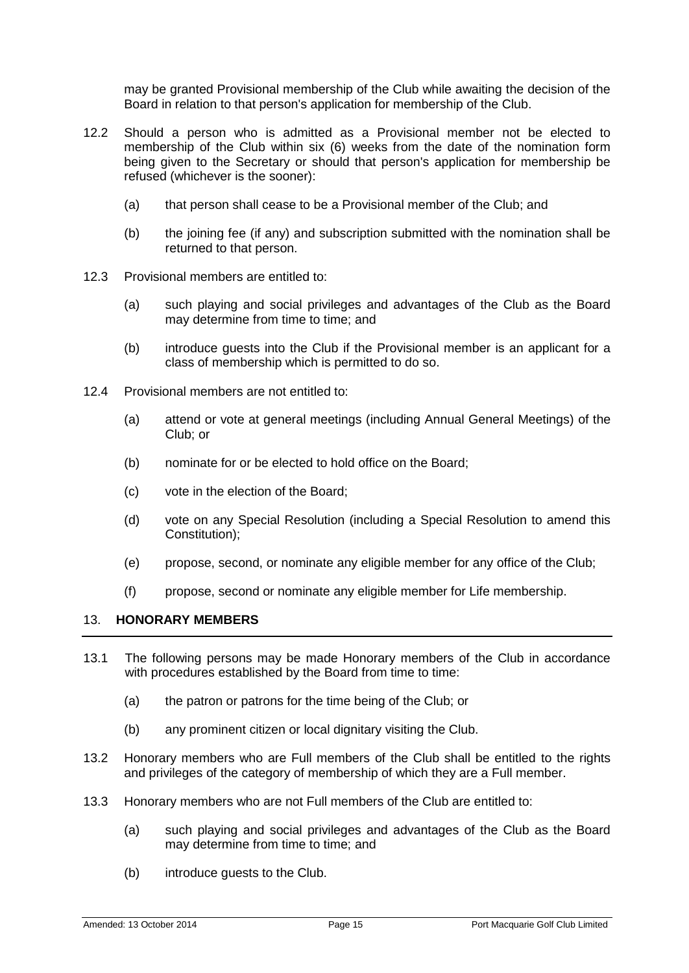may be granted Provisional membership of the Club while awaiting the decision of the Board in relation to that person's application for membership of the Club.

- 12.2 Should a person who is admitted as a Provisional member not be elected to membership of the Club within six (6) weeks from the date of the nomination form being given to the Secretary or should that person's application for membership be refused (whichever is the sooner):
	- (a) that person shall cease to be a Provisional member of the Club; and
	- (b) the joining fee (if any) and subscription submitted with the nomination shall be returned to that person.
- 12.3 Provisional members are entitled to:
	- (a) such playing and social privileges and advantages of the Club as the Board may determine from time to time; and
	- (b) introduce guests into the Club if the Provisional member is an applicant for a class of membership which is permitted to do so.
- 12.4 Provisional members are not entitled to:
	- (a) attend or vote at general meetings (including Annual General Meetings) of the Club; or
	- (b) nominate for or be elected to hold office on the Board;
	- (c) vote in the election of the Board;
	- (d) vote on any Special Resolution (including a Special Resolution to amend this Constitution);
	- (e) propose, second, or nominate any eligible member for any office of the Club;
	- (f) propose, second or nominate any eligible member for Life membership.

#### <span id="page-16-0"></span>13. **HONORARY MEMBERS**

- 13.1 The following persons may be made Honorary members of the Club in accordance with procedures established by the Board from time to time:
	- (a) the patron or patrons for the time being of the Club; or
	- (b) any prominent citizen or local dignitary visiting the Club.
- 13.2 Honorary members who are Full members of the Club shall be entitled to the rights and privileges of the category of membership of which they are a Full member.
- 13.3 Honorary members who are not Full members of the Club are entitled to:
	- (a) such playing and social privileges and advantages of the Club as the Board may determine from time to time; and
	- (b) introduce guests to the Club.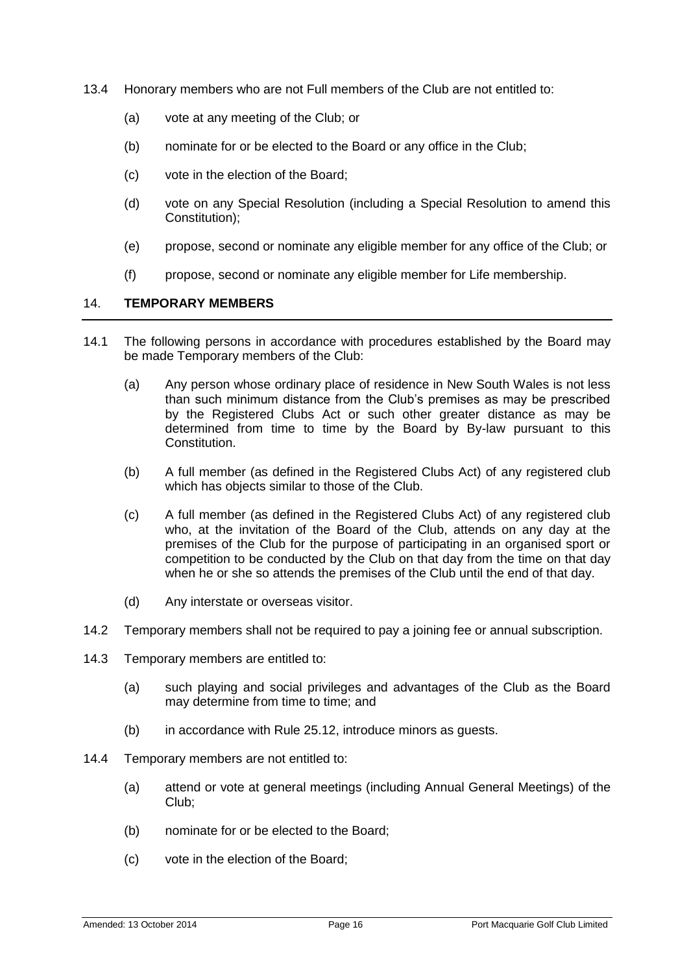- 13.4 Honorary members who are not Full members of the Club are not entitled to:
	- (a) vote at any meeting of the Club; or
	- (b) nominate for or be elected to the Board or any office in the Club;
	- (c) vote in the election of the Board;
	- (d) vote on any Special Resolution (including a Special Resolution to amend this Constitution);
	- (e) propose, second or nominate any eligible member for any office of the Club; or
	- (f) propose, second or nominate any eligible member for Life membership.

#### <span id="page-17-0"></span>14. **TEMPORARY MEMBERS**

- 14.1 The following persons in accordance with procedures established by the Board may be made Temporary members of the Club:
	- (a) Any person whose ordinary place of residence in New South Wales is not less than such minimum distance from the Club's premises as may be prescribed by the Registered Clubs Act or such other greater distance as may be determined from time to time by the Board by By-law pursuant to this Constitution.
	- (b) A full member (as defined in the Registered Clubs Act) of any registered club which has objects similar to those of the Club.
	- (c) A full member (as defined in the Registered Clubs Act) of any registered club who, at the invitation of the Board of the Club, attends on any day at the premises of the Club for the purpose of participating in an organised sport or competition to be conducted by the Club on that day from the time on that day when he or she so attends the premises of the Club until the end of that day.
	- (d) Any interstate or overseas visitor.
- <span id="page-17-1"></span>14.2 Temporary members shall not be required to pay a joining fee or annual subscription.
- 14.3 Temporary members are entitled to:
	- (a) such playing and social privileges and advantages of the Club as the Board may determine from time to time; and
	- (b) in accordance with Rule [25.12,](#page-26-2) introduce minors as guests.
- 14.4 Temporary members are not entitled to:
	- (a) attend or vote at general meetings (including Annual General Meetings) of the Club;
	- (b) nominate for or be elected to the Board;
	- (c) vote in the election of the Board;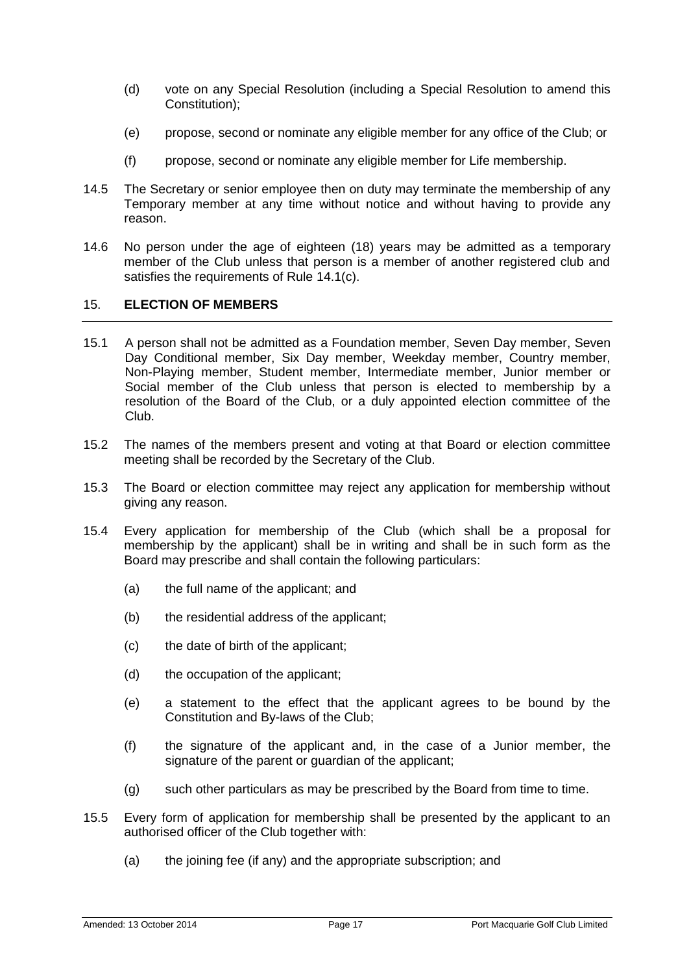- (d) vote on any Special Resolution (including a Special Resolution to amend this Constitution);
- (e) propose, second or nominate any eligible member for any office of the Club; or
- (f) propose, second or nominate any eligible member for Life membership.
- 14.5 The Secretary or senior employee then on duty may terminate the membership of any Temporary member at any time without notice and without having to provide any reason.
- 14.6 No person under the age of eighteen (18) years may be admitted as a temporary member of the Club unless that person is a member of another registered club and satisfies the requirements of Rule [14.1\(c\).](#page-17-1)

#### <span id="page-18-0"></span>15. **ELECTION OF MEMBERS**

- 15.1 A person shall not be admitted as a Foundation member, Seven Day member, Seven Day Conditional member, Six Day member, Weekday member, Country member, Non-Playing member, Student member, Intermediate member, Junior member or Social member of the Club unless that person is elected to membership by a resolution of the Board of the Club, or a duly appointed election committee of the Club.
- 15.2 The names of the members present and voting at that Board or election committee meeting shall be recorded by the Secretary of the Club.
- 15.3 The Board or election committee may reject any application for membership without giving any reason.
- 15.4 Every application for membership of the Club (which shall be a proposal for membership by the applicant) shall be in writing and shall be in such form as the Board may prescribe and shall contain the following particulars:
	- (a) the full name of the applicant; and
	- (b) the residential address of the applicant;
	- (c) the date of birth of the applicant;
	- (d) the occupation of the applicant;
	- (e) a statement to the effect that the applicant agrees to be bound by the Constitution and By-laws of the Club;
	- (f) the signature of the applicant and, in the case of a Junior member, the signature of the parent or guardian of the applicant;
	- (g) such other particulars as may be prescribed by the Board from time to time.
- 15.5 Every form of application for membership shall be presented by the applicant to an authorised officer of the Club together with:
	- (a) the joining fee (if any) and the appropriate subscription; and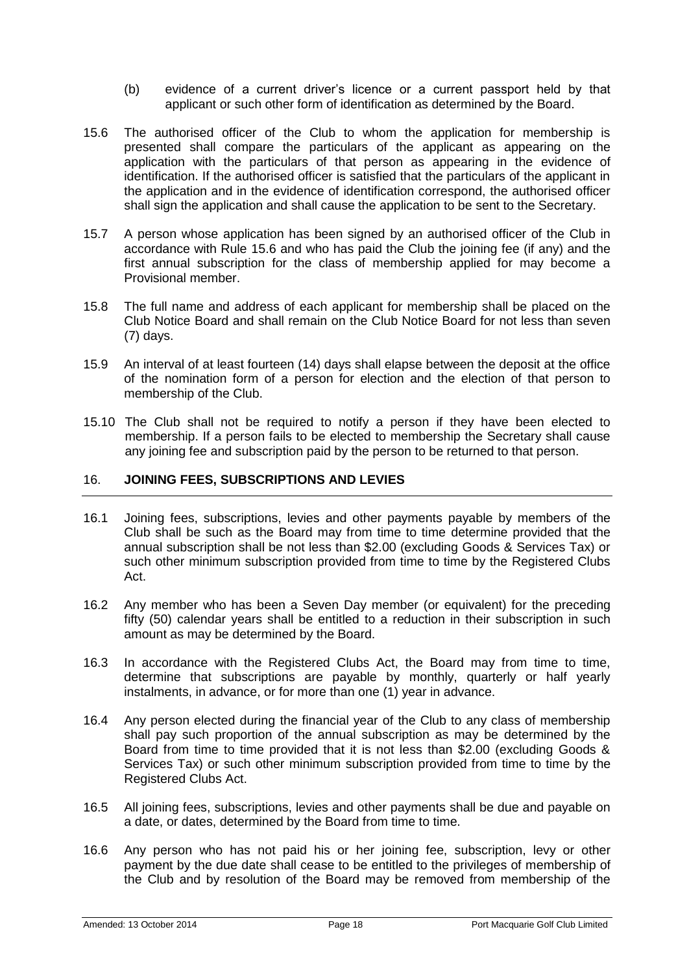- (b) evidence of a current driver's licence or a current passport held by that applicant or such other form of identification as determined by the Board.
- <span id="page-19-2"></span>15.6 The authorised officer of the Club to whom the application for membership is presented shall compare the particulars of the applicant as appearing on the application with the particulars of that person as appearing in the evidence of identification. If the authorised officer is satisfied that the particulars of the applicant in the application and in the evidence of identification correspond, the authorised officer shall sign the application and shall cause the application to be sent to the Secretary.
- 15.7 A person whose application has been signed by an authorised officer of the Club in accordance with Rule [15.6](#page-19-2) and who has paid the Club the joining fee (if any) and the first annual subscription for the class of membership applied for may become a Provisional member.
- 15.8 The full name and address of each applicant for membership shall be placed on the Club Notice Board and shall remain on the Club Notice Board for not less than seven (7) days.
- 15.9 An interval of at least fourteen (14) days shall elapse between the deposit at the office of the nomination form of a person for election and the election of that person to membership of the Club.
- 15.10 The Club shall not be required to notify a person if they have been elected to membership. If a person fails to be elected to membership the Secretary shall cause any joining fee and subscription paid by the person to be returned to that person.

#### <span id="page-19-0"></span>16. **JOINING FEES, SUBSCRIPTIONS AND LEVIES**

- 16.1 Joining fees, subscriptions, levies and other payments payable by members of the Club shall be such as the Board may from time to time determine provided that the annual subscription shall be not less than \$2.00 (excluding Goods & Services Tax) or such other minimum subscription provided from time to time by the Registered Clubs Act.
- 16.2 Any member who has been a Seven Day member (or equivalent) for the preceding fifty (50) calendar years shall be entitled to a reduction in their subscription in such amount as may be determined by the Board.
- 16.3 In accordance with the Registered Clubs Act, the Board may from time to time, determine that subscriptions are payable by monthly, quarterly or half yearly instalments, in advance, or for more than one (1) year in advance.
- 16.4 Any person elected during the financial year of the Club to any class of membership shall pay such proportion of the annual subscription as may be determined by the Board from time to time provided that it is not less than \$2.00 (excluding Goods & Services Tax) or such other minimum subscription provided from time to time by the Registered Clubs Act.
- <span id="page-19-1"></span>16.5 All joining fees, subscriptions, levies and other payments shall be due and payable on a date, or dates, determined by the Board from time to time.
- 16.6 Any person who has not paid his or her joining fee, subscription, levy or other payment by the due date shall cease to be entitled to the privileges of membership of the Club and by resolution of the Board may be removed from membership of the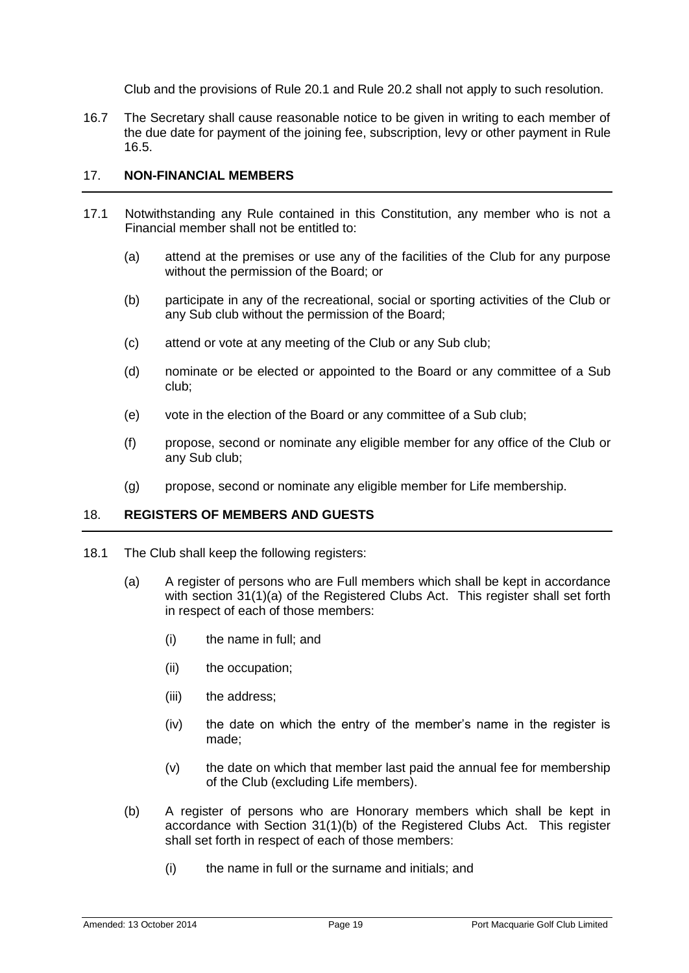Club and the provisions of Rule [20.1](#page-21-2) and Rule [20.2](#page-21-3) shall not apply to such resolution.

16.7 The Secretary shall cause reasonable notice to be given in writing to each member of the due date for payment of the joining fee, subscription, levy or other payment in Rule [16.5.](#page-19-1)

#### <span id="page-20-0"></span>17. **NON-FINANCIAL MEMBERS**

- 17.1 Notwithstanding any Rule contained in this Constitution, any member who is not a Financial member shall not be entitled to:
	- (a) attend at the premises or use any of the facilities of the Club for any purpose without the permission of the Board; or
	- (b) participate in any of the recreational, social or sporting activities of the Club or any Sub club without the permission of the Board;
	- (c) attend or vote at any meeting of the Club or any Sub club;
	- (d) nominate or be elected or appointed to the Board or any committee of a Sub club;
	- (e) vote in the election of the Board or any committee of a Sub club;
	- (f) propose, second or nominate any eligible member for any office of the Club or any Sub club;
	- (g) propose, second or nominate any eligible member for Life membership.

#### <span id="page-20-1"></span>18. **REGISTERS OF MEMBERS AND GUESTS**

- <span id="page-20-2"></span>18.1 The Club shall keep the following registers:
	- (a) A register of persons who are Full members which shall be kept in accordance with section 31(1)(a) of the Registered Clubs Act. This register shall set forth in respect of each of those members:
		- (i) the name in full; and
		- (ii) the occupation;
		- (iii) the address;
		- (iv) the date on which the entry of the member's name in the register is made;
		- (v) the date on which that member last paid the annual fee for membership of the Club (excluding Life members).
	- (b) A register of persons who are Honorary members which shall be kept in accordance with Section 31(1)(b) of the Registered Clubs Act. This register shall set forth in respect of each of those members:
		- (i) the name in full or the surname and initials; and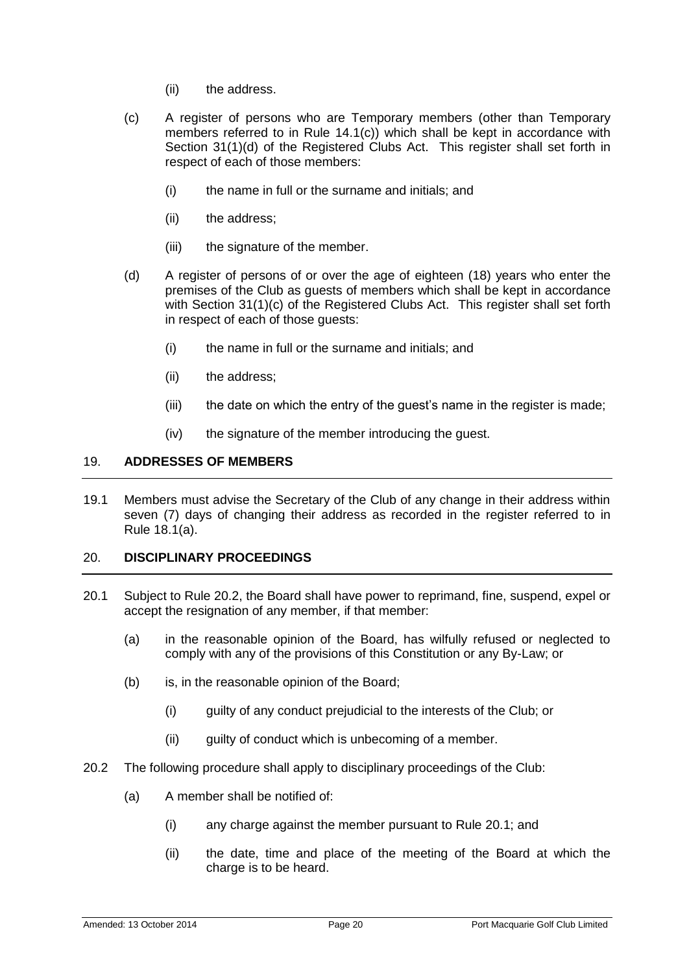- (ii) the address.
- (c) A register of persons who are Temporary members (other than Temporary members referred to in Rule [14.1\(c\)\)](#page-17-1) which shall be kept in accordance with Section 31(1)(d) of the Registered Clubs Act. This register shall set forth in respect of each of those members:
	- (i) the name in full or the surname and initials; and
	- (ii) the address;
	- (iii) the signature of the member.
- (d) A register of persons of or over the age of eighteen (18) years who enter the premises of the Club as guests of members which shall be kept in accordance with Section 31(1)(c) of the Registered Clubs Act. This register shall set forth in respect of each of those guests:
	- (i) the name in full or the surname and initials; and
	- (ii) the address;
	- (iii) the date on which the entry of the guest's name in the register is made;
	- (iv) the signature of the member introducing the guest.

#### <span id="page-21-0"></span>19. **ADDRESSES OF MEMBERS**

19.1 Members must advise the Secretary of the Club of any change in their address within seven (7) days of changing their address as recorded in the register referred to in Rule [18.1\(](#page-20-2)a).

#### <span id="page-21-1"></span>20. **DISCIPLINARY PROCEEDINGS**

- <span id="page-21-2"></span>20.1 Subject to Rule [20.2,](#page-21-3) the Board shall have power to reprimand, fine, suspend, expel or accept the resignation of any member, if that member:
	- (a) in the reasonable opinion of the Board, has wilfully refused or neglected to comply with any of the provisions of this Constitution or any By-Law; or
	- (b) is, in the reasonable opinion of the Board;
		- (i) guilty of any conduct prejudicial to the interests of the Club; or
		- (ii) guilty of conduct which is unbecoming of a member.
- <span id="page-21-3"></span>20.2 The following procedure shall apply to disciplinary proceedings of the Club:
	- (a) A member shall be notified of:
		- (i) any charge against the member pursuant to Rule [20.1;](#page-21-2) and
		- (ii) the date, time and place of the meeting of the Board at which the charge is to be heard.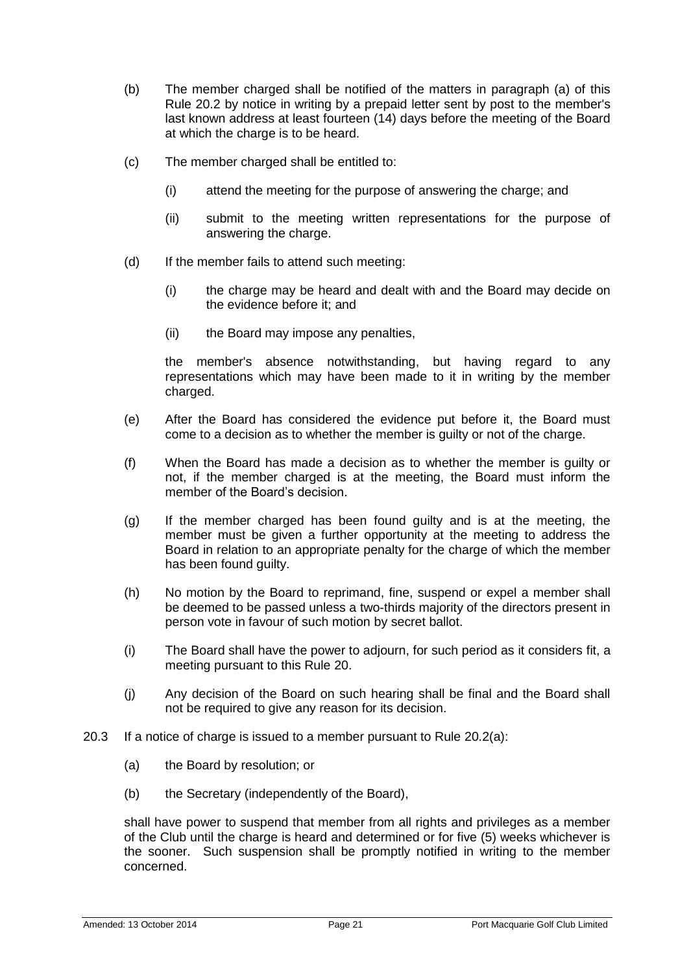- (b) The member charged shall be notified of the matters in paragraph (a) of this Rule [20.2](#page-21-3) by notice in writing by a prepaid letter sent by post to the member's last known address at least fourteen (14) days before the meeting of the Board at which the charge is to be heard.
- (c) The member charged shall be entitled to:
	- (i) attend the meeting for the purpose of answering the charge; and
	- (ii) submit to the meeting written representations for the purpose of answering the charge.
- (d) If the member fails to attend such meeting:
	- (i) the charge may be heard and dealt with and the Board may decide on the evidence before it; and
	- (ii) the Board may impose any penalties,

the member's absence notwithstanding, but having regard to any representations which may have been made to it in writing by the member charged.

- (e) After the Board has considered the evidence put before it, the Board must come to a decision as to whether the member is guilty or not of the charge.
- (f) When the Board has made a decision as to whether the member is guilty or not, if the member charged is at the meeting, the Board must inform the member of the Board's decision.
- (g) If the member charged has been found guilty and is at the meeting, the member must be given a further opportunity at the meeting to address the Board in relation to an appropriate penalty for the charge of which the member has been found guilty.
- (h) No motion by the Board to reprimand, fine, suspend or expel a member shall be deemed to be passed unless a two-thirds majority of the directors present in person vote in favour of such motion by secret ballot.
- (i) The Board shall have the power to adjourn, for such period as it considers fit, a meeting pursuant to this Rule [20.](#page-21-1)
- (j) Any decision of the Board on such hearing shall be final and the Board shall not be required to give any reason for its decision.
- <span id="page-22-0"></span>20.3 If a notice of charge is issued to a member pursuant to Rule [20.2\(](#page-21-3)a):
	- (a) the Board by resolution; or
	- (b) the Secretary (independently of the Board),

shall have power to suspend that member from all rights and privileges as a member of the Club until the charge is heard and determined or for five (5) weeks whichever is the sooner. Such suspension shall be promptly notified in writing to the member concerned.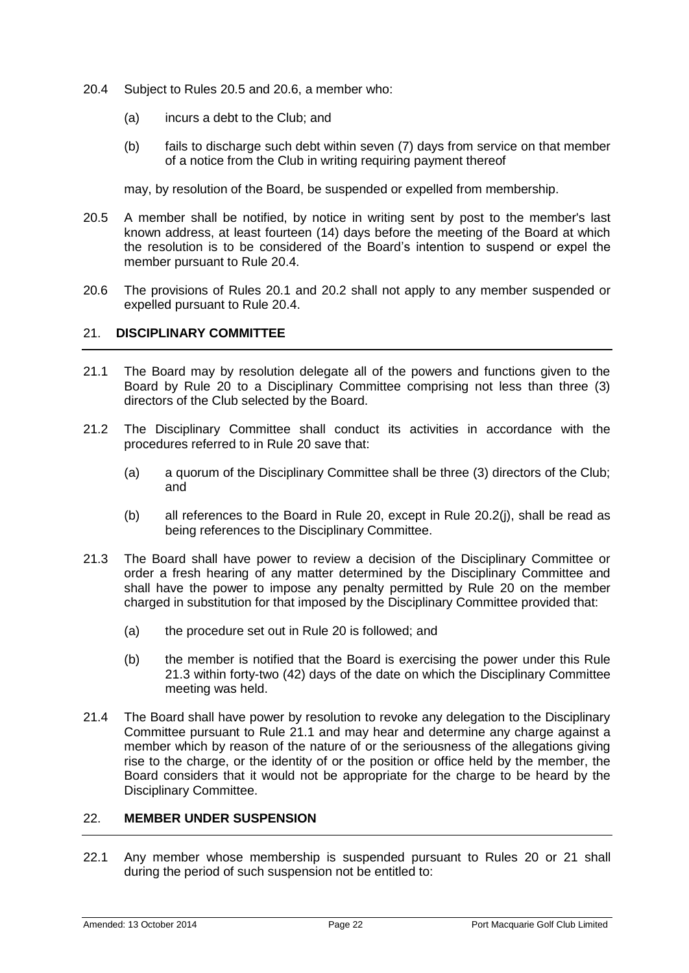- <span id="page-23-4"></span>20.4 Subject to Rules [20.5](#page-23-2) and [20.6,](#page-23-3) a member who:
	- (a) incurs a debt to the Club; and
	- (b) fails to discharge such debt within seven (7) days from service on that member of a notice from the Club in writing requiring payment thereof

may, by resolution of the Board, be suspended or expelled from membership.

- <span id="page-23-2"></span>20.5 A member shall be notified, by notice in writing sent by post to the member's last known address, at least fourteen (14) days before the meeting of the Board at which the resolution is to be considered of the Board's intention to suspend or expel the member pursuant to Rule [20.4.](#page-23-4)
- <span id="page-23-3"></span>20.6 The provisions of Rules [20.1](#page-21-2) and [20.2](#page-21-3) shall not apply to any member suspended or expelled pursuant to Rule [20.4.](#page-23-4)

#### <span id="page-23-0"></span>21. **DISCIPLINARY COMMITTEE**

- <span id="page-23-6"></span>21.1 The Board may by resolution delegate all of the powers and functions given to the Board by Rule [20](#page-21-1) to a Disciplinary Committee comprising not less than three (3) directors of the Club selected by the Board.
- 21.2 The Disciplinary Committee shall conduct its activities in accordance with the procedures referred to in Rule [20](#page-21-1) save that:
	- (a) a quorum of the Disciplinary Committee shall be three (3) directors of the Club; and
	- (b) all references to the Board in Rule [20,](#page-21-1) except in Rule [20.2\(j\),](#page-22-0) shall be read as being references to the Disciplinary Committee.
- <span id="page-23-5"></span>21.3 The Board shall have power to review a decision of the Disciplinary Committee or order a fresh hearing of any matter determined by the Disciplinary Committee and shall have the power to impose any penalty permitted by Rule [20](#page-21-1) on the member charged in substitution for that imposed by the Disciplinary Committee provided that:
	- (a) the procedure set out in Rule [20](#page-21-1) is followed; and
	- (b) the member is notified that the Board is exercising the power under this Rule [21.3](#page-23-5) within forty-two (42) days of the date on which the Disciplinary Committee meeting was held.
- 21.4 The Board shall have power by resolution to revoke any delegation to the Disciplinary Committee pursuant to Rule [21.1](#page-23-6) and may hear and determine any charge against a member which by reason of the nature of or the seriousness of the allegations giving rise to the charge, or the identity of or the position or office held by the member, the Board considers that it would not be appropriate for the charge to be heard by the Disciplinary Committee.

#### <span id="page-23-1"></span>22. **MEMBER UNDER SUSPENSION**

22.1 Any member whose membership is suspended pursuant to Rules [20](#page-21-1) or [21](#page-23-0) shall during the period of such suspension not be entitled to: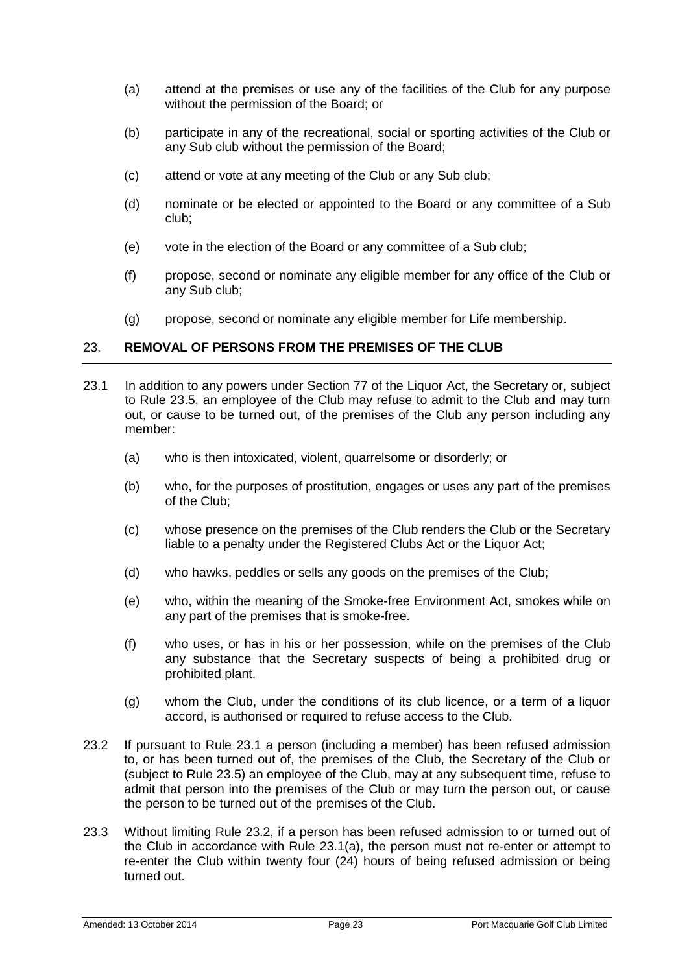- (a) attend at the premises or use any of the facilities of the Club for any purpose without the permission of the Board; or
- (b) participate in any of the recreational, social or sporting activities of the Club or any Sub club without the permission of the Board;
- (c) attend or vote at any meeting of the Club or any Sub club;
- (d) nominate or be elected or appointed to the Board or any committee of a Sub club;
- (e) vote in the election of the Board or any committee of a Sub club;
- (f) propose, second or nominate any eligible member for any office of the Club or any Sub club;
- (g) propose, second or nominate any eligible member for Life membership.

#### <span id="page-24-0"></span>23. **REMOVAL OF PERSONS FROM THE PREMISES OF THE CLUB**

- <span id="page-24-3"></span><span id="page-24-1"></span>23.1 In addition to any powers under Section 77 of the Liquor Act, the Secretary or, subject to Rule [23.5,](#page-25-2) an employee of the Club may refuse to admit to the Club and may turn out, or cause to be turned out, of the premises of the Club any person including any member:
	- (a) who is then intoxicated, violent, quarrelsome or disorderly; or
	- (b) who, for the purposes of prostitution, engages or uses any part of the premises of the Club;
	- (c) whose presence on the premises of the Club renders the Club or the Secretary liable to a penalty under the Registered Clubs Act or the Liquor Act;
	- (d) who hawks, peddles or sells any goods on the premises of the Club;
	- (e) who, within the meaning of the Smoke-free Environment Act, smokes while on any part of the premises that is smoke-free.
	- (f) who uses, or has in his or her possession, while on the premises of the Club any substance that the Secretary suspects of being a prohibited drug or prohibited plant.
	- (g) whom the Club, under the conditions of its club licence, or a term of a liquor accord, is authorised or required to refuse access to the Club.
- <span id="page-24-2"></span>23.2 If pursuant to Rule [23.1](#page-24-1) a person (including a member) has been refused admission to, or has been turned out of, the premises of the Club, the Secretary of the Club or (subject to Rule [23.5\)](#page-25-2) an employee of the Club, may at any subsequent time, refuse to admit that person into the premises of the Club or may turn the person out, or cause the person to be turned out of the premises of the Club.
- 23.3 Without limiting Rule [23.2,](#page-24-2) if a person has been refused admission to or turned out of the Club in accordance with Rule [23.1\(a\),](#page-24-3) the person must not re-enter or attempt to re-enter the Club within twenty four (24) hours of being refused admission or being turned out.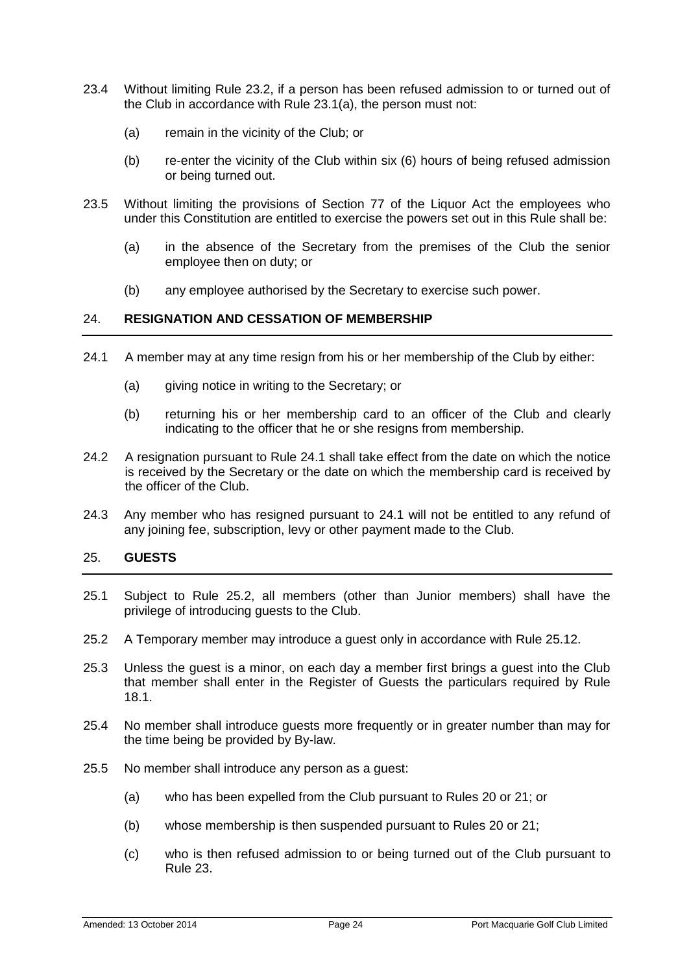- 23.4 Without limiting Rule [23.2,](#page-24-2) if a person has been refused admission to or turned out of the Club in accordance with Rule [23.1\(a\),](#page-24-3) the person must not:
	- (a) remain in the vicinity of the Club; or
	- (b) re-enter the vicinity of the Club within six (6) hours of being refused admission or being turned out.
- <span id="page-25-2"></span>23.5 Without limiting the provisions of Section 77 of the Liquor Act the employees who under this Constitution are entitled to exercise the powers set out in this Rule shall be:
	- (a) in the absence of the Secretary from the premises of the Club the senior employee then on duty; or
	- (b) any employee authorised by the Secretary to exercise such power.

#### <span id="page-25-0"></span>24. **RESIGNATION AND CESSATION OF MEMBERSHIP**

- <span id="page-25-3"></span>24.1 A member may at any time resign from his or her membership of the Club by either:
	- (a) giving notice in writing to the Secretary; or
	- (b) returning his or her membership card to an officer of the Club and clearly indicating to the officer that he or she resigns from membership.
- 24.2 A resignation pursuant to Rule [24.1](#page-25-3) shall take effect from the date on which the notice is received by the Secretary or the date on which the membership card is received by the officer of the Club.
- 24.3 Any member who has resigned pursuant to [24.1](#page-25-3) will not be entitled to any refund of any joining fee, subscription, levy or other payment made to the Club.

#### <span id="page-25-1"></span>25. **GUESTS**

- 25.1 Subject to Rule [25.2,](#page-25-4) all members (other than Junior members) shall have the privilege of introducing guests to the Club.
- <span id="page-25-4"></span>25.2 A Temporary member may introduce a guest only in accordance with Rule [25.12.](#page-26-2)
- 25.3 Unless the guest is a minor, on each day a member first brings a guest into the Club that member shall enter in the Register of Guests the particulars required by Rule [18.1.](#page-20-2)
- 25.4 No member shall introduce guests more frequently or in greater number than may for the time being be provided by By-law.
- 25.5 No member shall introduce any person as a guest:
	- (a) who has been expelled from the Club pursuant to Rules [20](#page-21-1) or [21;](#page-23-0) or
	- (b) whose membership is then suspended pursuant to Rules [20](#page-21-1) or [21;](#page-23-0)
	- (c) who is then refused admission to or being turned out of the Club pursuant to Rule [23.](#page-24-0)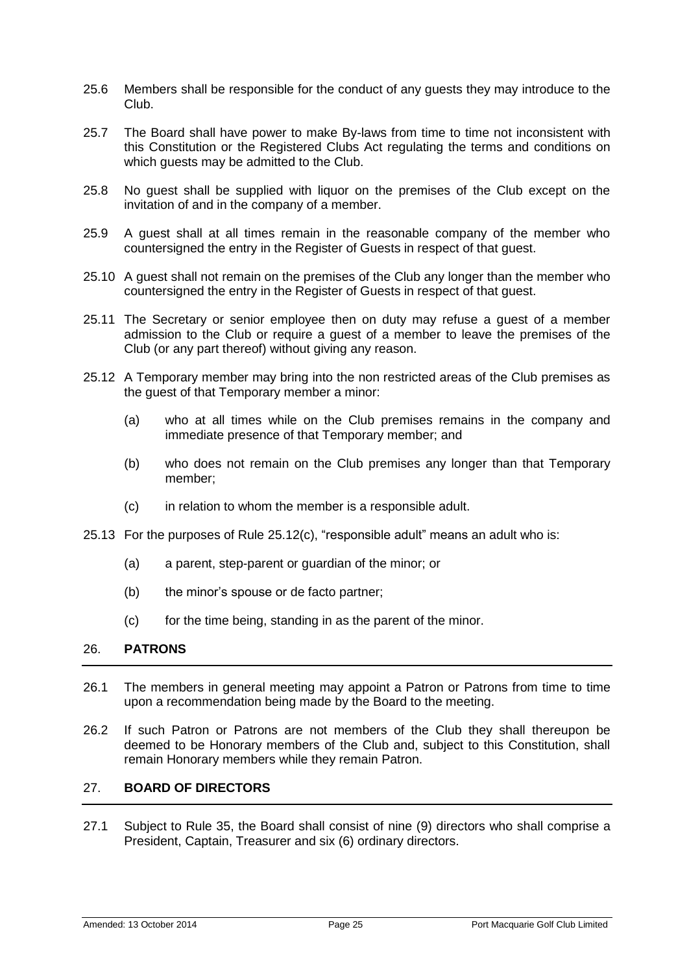- 25.6 Members shall be responsible for the conduct of any guests they may introduce to the Club.
- 25.7 The Board shall have power to make By-laws from time to time not inconsistent with this Constitution or the Registered Clubs Act regulating the terms and conditions on which quests may be admitted to the Club.
- 25.8 No guest shall be supplied with liquor on the premises of the Club except on the invitation of and in the company of a member.
- 25.9 A guest shall at all times remain in the reasonable company of the member who countersigned the entry in the Register of Guests in respect of that guest.
- 25.10 A guest shall not remain on the premises of the Club any longer than the member who countersigned the entry in the Register of Guests in respect of that guest.
- 25.11 The Secretary or senior employee then on duty may refuse a guest of a member admission to the Club or require a guest of a member to leave the premises of the Club (or any part thereof) without giving any reason.
- <span id="page-26-2"></span>25.12 A Temporary member may bring into the non restricted areas of the Club premises as the guest of that Temporary member a minor:
	- (a) who at all times while on the Club premises remains in the company and immediate presence of that Temporary member; and
	- (b) who does not remain on the Club premises any longer than that Temporary member;
	- (c) in relation to whom the member is a responsible adult.
- <span id="page-26-3"></span>25.13 For the purposes of Rule [25.12\(c\),](#page-26-3) "responsible adult" means an adult who is:
	- (a) a parent, step-parent or guardian of the minor; or
	- (b) the minor's spouse or de facto partner;
	- (c) for the time being, standing in as the parent of the minor.

#### <span id="page-26-0"></span>26. **PATRONS**

- 26.1 The members in general meeting may appoint a Patron or Patrons from time to time upon a recommendation being made by the Board to the meeting.
- 26.2 If such Patron or Patrons are not members of the Club they shall thereupon be deemed to be Honorary members of the Club and, subject to this Constitution, shall remain Honorary members while they remain Patron.

#### <span id="page-26-1"></span>27. **BOARD OF DIRECTORS**

<span id="page-26-4"></span>27.1 Subject to Rule [35,](#page-36-2) the Board shall consist of nine (9) directors who shall comprise a President, Captain, Treasurer and six (6) ordinary directors.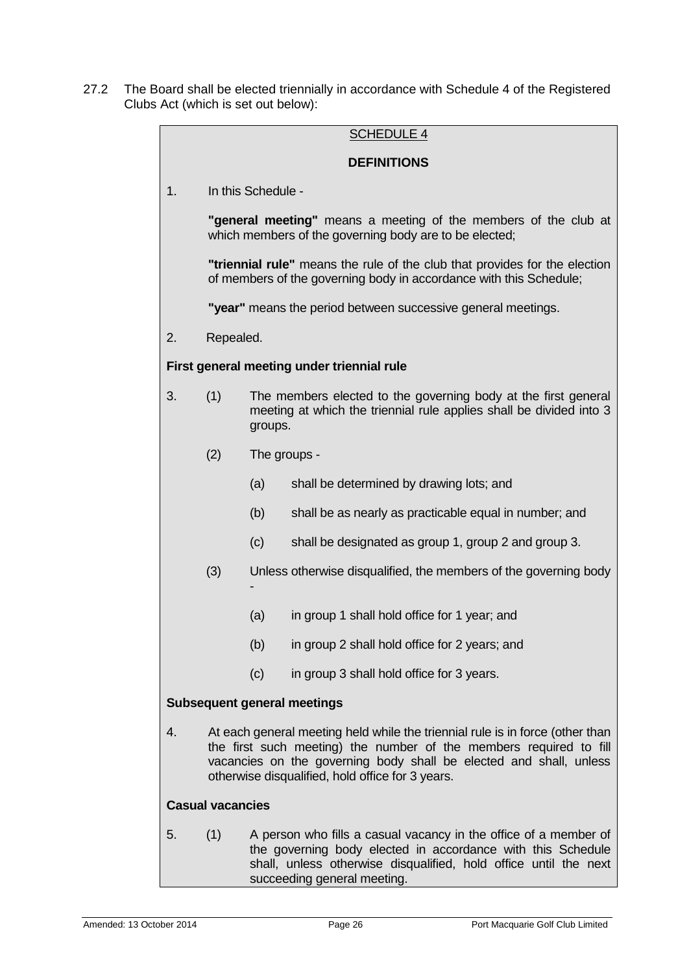<span id="page-27-0"></span>27.2 The Board shall be elected triennially in accordance with Schedule 4 of the Registered Clubs Act (which is set out below):

| <b>SCHEDULE 4</b>                          |                                                                                                                                                                                                                                                                               |                                                                                                                                                                                                                                    |                                                        |  |  |
|--------------------------------------------|-------------------------------------------------------------------------------------------------------------------------------------------------------------------------------------------------------------------------------------------------------------------------------|------------------------------------------------------------------------------------------------------------------------------------------------------------------------------------------------------------------------------------|--------------------------------------------------------|--|--|
| <b>DEFINITIONS</b>                         |                                                                                                                                                                                                                                                                               |                                                                                                                                                                                                                                    |                                                        |  |  |
| 1.                                         | In this Schedule -                                                                                                                                                                                                                                                            |                                                                                                                                                                                                                                    |                                                        |  |  |
|                                            | "general meeting" means a meeting of the members of the club at<br>which members of the governing body are to be elected;                                                                                                                                                     |                                                                                                                                                                                                                                    |                                                        |  |  |
|                                            | "triennial rule" means the rule of the club that provides for the election<br>of members of the governing body in accordance with this Schedule;                                                                                                                              |                                                                                                                                                                                                                                    |                                                        |  |  |
|                                            | "year" means the period between successive general meetings.                                                                                                                                                                                                                  |                                                                                                                                                                                                                                    |                                                        |  |  |
| 2.                                         | Repealed.                                                                                                                                                                                                                                                                     |                                                                                                                                                                                                                                    |                                                        |  |  |
| First general meeting under triennial rule |                                                                                                                                                                                                                                                                               |                                                                                                                                                                                                                                    |                                                        |  |  |
| 3.                                         | (1)                                                                                                                                                                                                                                                                           | The members elected to the governing body at the first general<br>meeting at which the triennial rule applies shall be divided into 3<br>groups.                                                                                   |                                                        |  |  |
|                                            | (2)                                                                                                                                                                                                                                                                           | The groups -                                                                                                                                                                                                                       |                                                        |  |  |
|                                            |                                                                                                                                                                                                                                                                               | (a)                                                                                                                                                                                                                                | shall be determined by drawing lots; and               |  |  |
|                                            |                                                                                                                                                                                                                                                                               | (b)                                                                                                                                                                                                                                | shall be as nearly as practicable equal in number; and |  |  |
|                                            |                                                                                                                                                                                                                                                                               | (c)                                                                                                                                                                                                                                | shall be designated as group 1, group 2 and group 3.   |  |  |
|                                            | (3)                                                                                                                                                                                                                                                                           | Unless otherwise disqualified, the members of the governing body                                                                                                                                                                   |                                                        |  |  |
|                                            |                                                                                                                                                                                                                                                                               | (a)                                                                                                                                                                                                                                | in group 1 shall hold office for 1 year; and           |  |  |
|                                            |                                                                                                                                                                                                                                                                               | (b)                                                                                                                                                                                                                                | in group 2 shall hold office for 2 years; and          |  |  |
|                                            |                                                                                                                                                                                                                                                                               | (c)                                                                                                                                                                                                                                | in group 3 shall hold office for 3 years.              |  |  |
| <b>Subsequent general meetings</b>         |                                                                                                                                                                                                                                                                               |                                                                                                                                                                                                                                    |                                                        |  |  |
| 4.                                         | At each general meeting held while the triennial rule is in force (other than<br>the first such meeting) the number of the members required to fill<br>vacancies on the governing body shall be elected and shall, unless<br>otherwise disqualified, hold office for 3 years. |                                                                                                                                                                                                                                    |                                                        |  |  |
| <b>Casual vacancies</b>                    |                                                                                                                                                                                                                                                                               |                                                                                                                                                                                                                                    |                                                        |  |  |
| 5.                                         | (1)                                                                                                                                                                                                                                                                           | A person who fills a casual vacancy in the office of a member of<br>the governing body elected in accordance with this Schedule<br>shall, unless otherwise disqualified, hold office until the next<br>succeeding general meeting. |                                                        |  |  |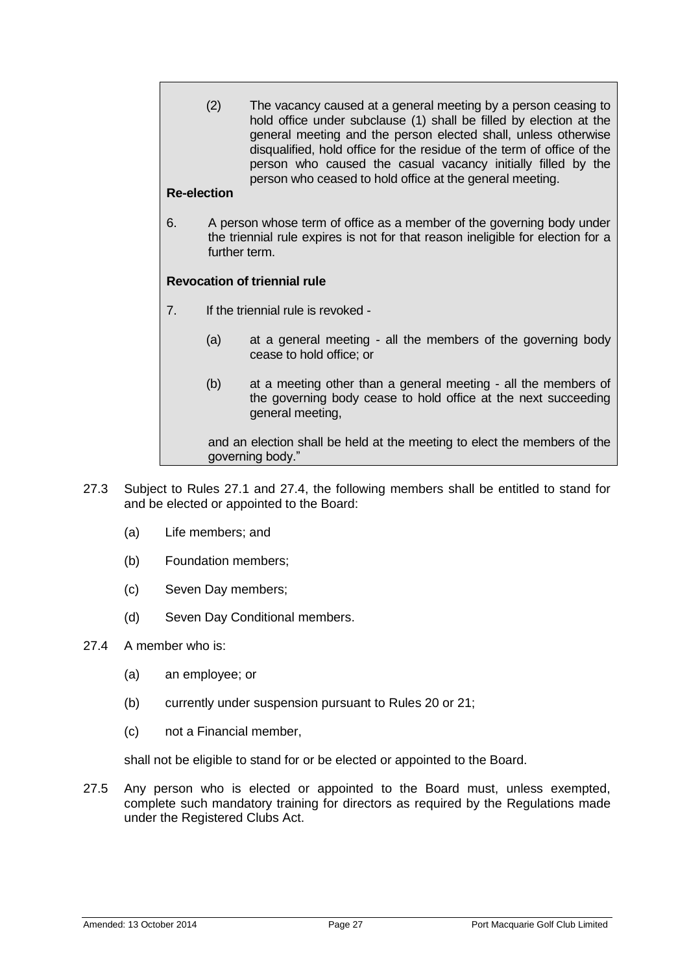(2) The vacancy caused at a general meeting by a person ceasing to hold office under subclause (1) shall be filled by election at the general meeting and the person elected shall, unless otherwise disqualified, hold office for the residue of the term of office of the person who caused the casual vacancy initially filled by the person who ceased to hold office at the general meeting.

#### **Re-election**

6. A person whose term of office as a member of the governing body under the triennial rule expires is not for that reason ineligible for election for a further term.

#### **Revocation of triennial rule**

- 7. If the triennial rule is revoked
	- (a) at a general meeting all the members of the governing body cease to hold office; or
	- (b) at a meeting other than a general meeting all the members of the governing body cease to hold office at the next succeeding general meeting,

and an election shall be held at the meeting to elect the members of the governing body."

- 27.3 Subject to Rules [27.1](#page-26-4) and [27.4,](#page-28-0) the following members shall be entitled to stand for and be elected or appointed to the Board:
	- (a) Life members; and
	- (b) Foundation members;
	- (c) Seven Day members;
	- (d) Seven Day Conditional members.
- <span id="page-28-0"></span>27.4 A member who is:
	- (a) an employee; or
	- (b) currently under suspension pursuant to Rules [20](#page-21-1) or [21;](#page-23-0)
	- (c) not a Financial member,

shall not be eligible to stand for or be elected or appointed to the Board.

<span id="page-28-1"></span>27.5 Any person who is elected or appointed to the Board must, unless exempted, complete such mandatory training for directors as required by the Regulations made under the Registered Clubs Act.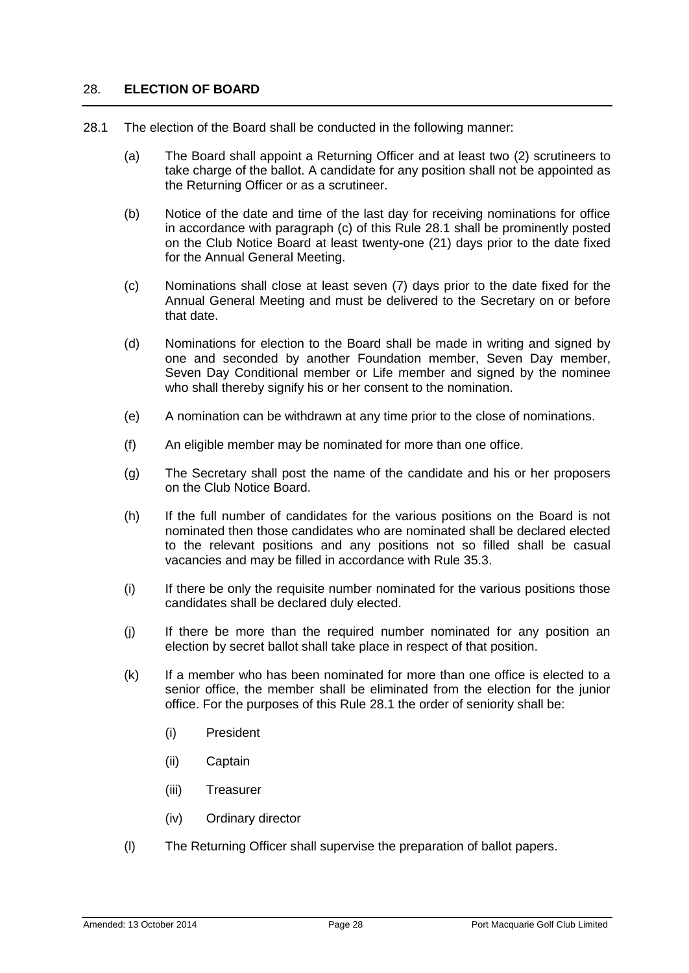#### <span id="page-29-0"></span>28. **ELECTION OF BOARD**

- <span id="page-29-1"></span>28.1 The election of the Board shall be conducted in the following manner:
	- (a) The Board shall appoint a Returning Officer and at least two (2) scrutineers to take charge of the ballot. A candidate for any position shall not be appointed as the Returning Officer or as a scrutineer.
	- (b) Notice of the date and time of the last day for receiving nominations for office in accordance with paragraph (c) of this Rule [28.1](#page-29-1) shall be prominently posted on the Club Notice Board at least twenty-one (21) days prior to the date fixed for the Annual General Meeting.
	- (c) Nominations shall close at least seven (7) days prior to the date fixed for the Annual General Meeting and must be delivered to the Secretary on or before that date.
	- (d) Nominations for election to the Board shall be made in writing and signed by one and seconded by another Foundation member, Seven Day member, Seven Day Conditional member or Life member and signed by the nominee who shall thereby signify his or her consent to the nomination.
	- (e) A nomination can be withdrawn at any time prior to the close of nominations.
	- (f) An eligible member may be nominated for more than one office.
	- (g) The Secretary shall post the name of the candidate and his or her proposers on the Club Notice Board.
	- (h) If the full number of candidates for the various positions on the Board is not nominated then those candidates who are nominated shall be declared elected to the relevant positions and any positions not so filled shall be casual vacancies and may be filled in accordance with Rule [35.3.](#page-37-1)
	- (i) If there be only the requisite number nominated for the various positions those candidates shall be declared duly elected.
	- (j) If there be more than the required number nominated for any position an election by secret ballot shall take place in respect of that position.
	- (k) If a member who has been nominated for more than one office is elected to a senior office, the member shall be eliminated from the election for the junior office. For the purposes of this Rule [28.1](#page-29-1) the order of seniority shall be:
		- (i) President
		- (ii) Captain
		- (iii) Treasurer
		- (iv) Ordinary director
	- (l) The Returning Officer shall supervise the preparation of ballot papers.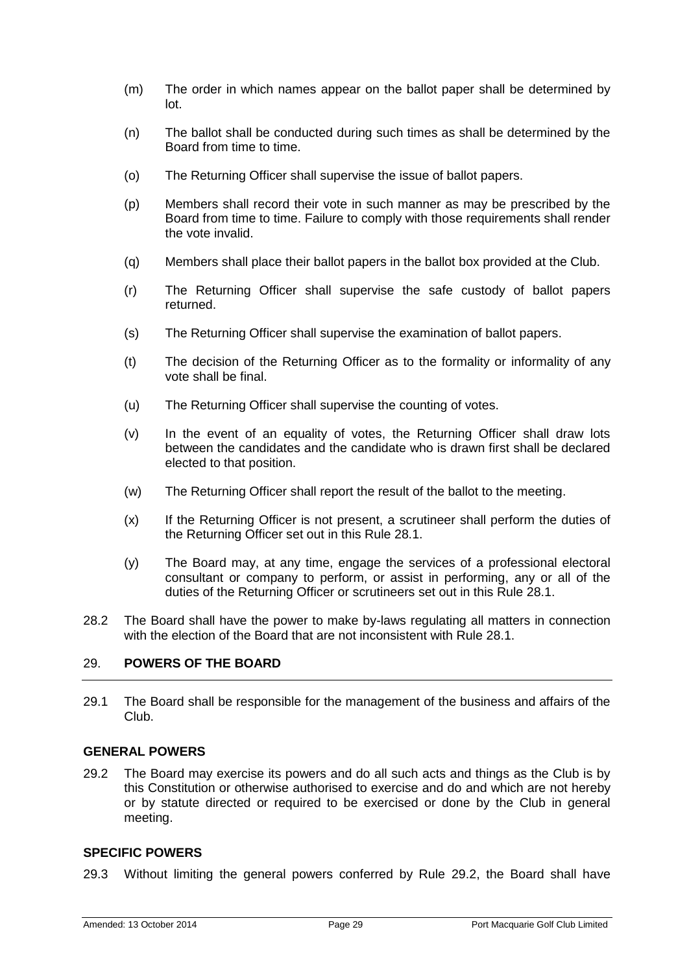- (m) The order in which names appear on the ballot paper shall be determined by lot.
- (n) The ballot shall be conducted during such times as shall be determined by the Board from time to time.
- (o) The Returning Officer shall supervise the issue of ballot papers.
- (p) Members shall record their vote in such manner as may be prescribed by the Board from time to time. Failure to comply with those requirements shall render the vote invalid.
- (q) Members shall place their ballot papers in the ballot box provided at the Club.
- (r) The Returning Officer shall supervise the safe custody of ballot papers returned.
- (s) The Returning Officer shall supervise the examination of ballot papers.
- (t) The decision of the Returning Officer as to the formality or informality of any vote shall be final.
- (u) The Returning Officer shall supervise the counting of votes.
- (v) In the event of an equality of votes, the Returning Officer shall draw lots between the candidates and the candidate who is drawn first shall be declared elected to that position.
- (w) The Returning Officer shall report the result of the ballot to the meeting.
- (x) If the Returning Officer is not present, a scrutineer shall perform the duties of the Returning Officer set out in this Rule [28.1.](#page-29-1)
- (y) The Board may, at any time, engage the services of a professional electoral consultant or company to perform, or assist in performing, any or all of the duties of the Returning Officer or scrutineers set out in this Rule [28.1.](#page-29-1)
- 28.2 The Board shall have the power to make by-laws regulating all matters in connection with the election of the Board that are not inconsistent with Rule [28.1.](#page-29-1)

#### <span id="page-30-0"></span>29. **POWERS OF THE BOARD**

29.1 The Board shall be responsible for the management of the business and affairs of the Club.

#### **GENERAL POWERS**

<span id="page-30-1"></span>29.2 The Board may exercise its powers and do all such acts and things as the Club is by this Constitution or otherwise authorised to exercise and do and which are not hereby or by statute directed or required to be exercised or done by the Club in general meeting.

#### **SPECIFIC POWERS**

29.3 Without limiting the general powers conferred by Rule [29.2,](#page-30-1) the Board shall have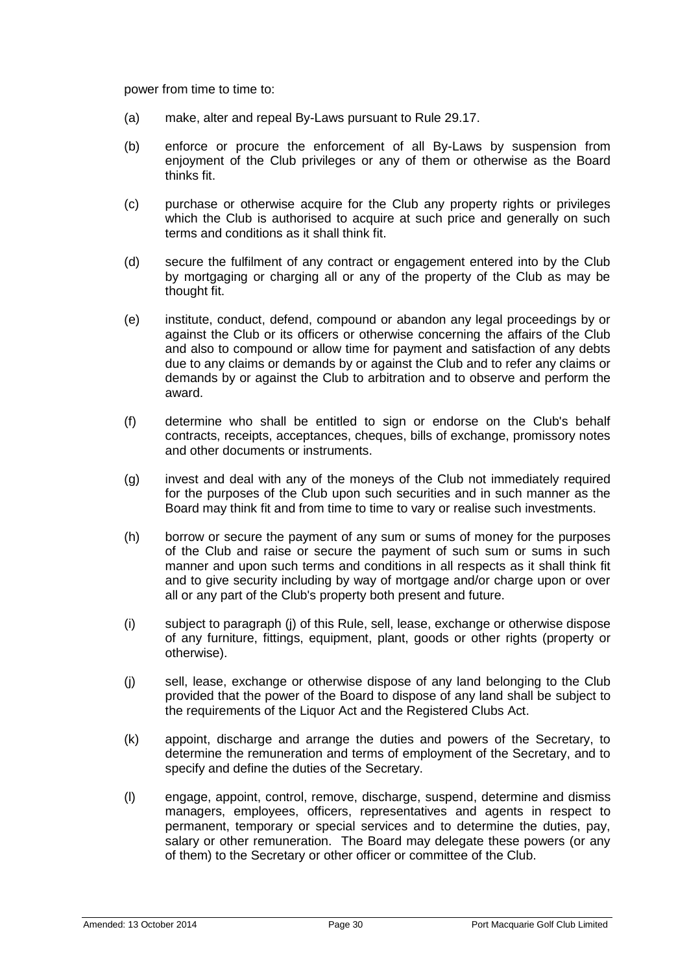power from time to time to:

- (a) make, alter and repeal By-Laws pursuant to Rule [29.17.](#page-33-0)
- (b) enforce or procure the enforcement of all By-Laws by suspension from enjoyment of the Club privileges or any of them or otherwise as the Board thinks fit.
- (c) purchase or otherwise acquire for the Club any property rights or privileges which the Club is authorised to acquire at such price and generally on such terms and conditions as it shall think fit.
- (d) secure the fulfilment of any contract or engagement entered into by the Club by mortgaging or charging all or any of the property of the Club as may be thought fit.
- (e) institute, conduct, defend, compound or abandon any legal proceedings by or against the Club or its officers or otherwise concerning the affairs of the Club and also to compound or allow time for payment and satisfaction of any debts due to any claims or demands by or against the Club and to refer any claims or demands by or against the Club to arbitration and to observe and perform the award.
- (f) determine who shall be entitled to sign or endorse on the Club's behalf contracts, receipts, acceptances, cheques, bills of exchange, promissory notes and other documents or instruments.
- (g) invest and deal with any of the moneys of the Club not immediately required for the purposes of the Club upon such securities and in such manner as the Board may think fit and from time to time to vary or realise such investments.
- (h) borrow or secure the payment of any sum or sums of money for the purposes of the Club and raise or secure the payment of such sum or sums in such manner and upon such terms and conditions in all respects as it shall think fit and to give security including by way of mortgage and/or charge upon or over all or any part of the Club's property both present and future.
- (i) subject to paragraph [\(j\)](#page-31-0) of this Rule, sell, lease, exchange or otherwise dispose of any furniture, fittings, equipment, plant, goods or other rights (property or otherwise).
- <span id="page-31-0"></span>(j) sell, lease, exchange or otherwise dispose of any land belonging to the Club provided that the power of the Board to dispose of any land shall be subject to the requirements of the Liquor Act and the Registered Clubs Act.
- (k) appoint, discharge and arrange the duties and powers of the Secretary, to determine the remuneration and terms of employment of the Secretary, and to specify and define the duties of the Secretary.
- (l) engage, appoint, control, remove, discharge, suspend, determine and dismiss managers, employees, officers, representatives and agents in respect to permanent, temporary or special services and to determine the duties, pay, salary or other remuneration. The Board may delegate these powers (or any of them) to the Secretary or other officer or committee of the Club.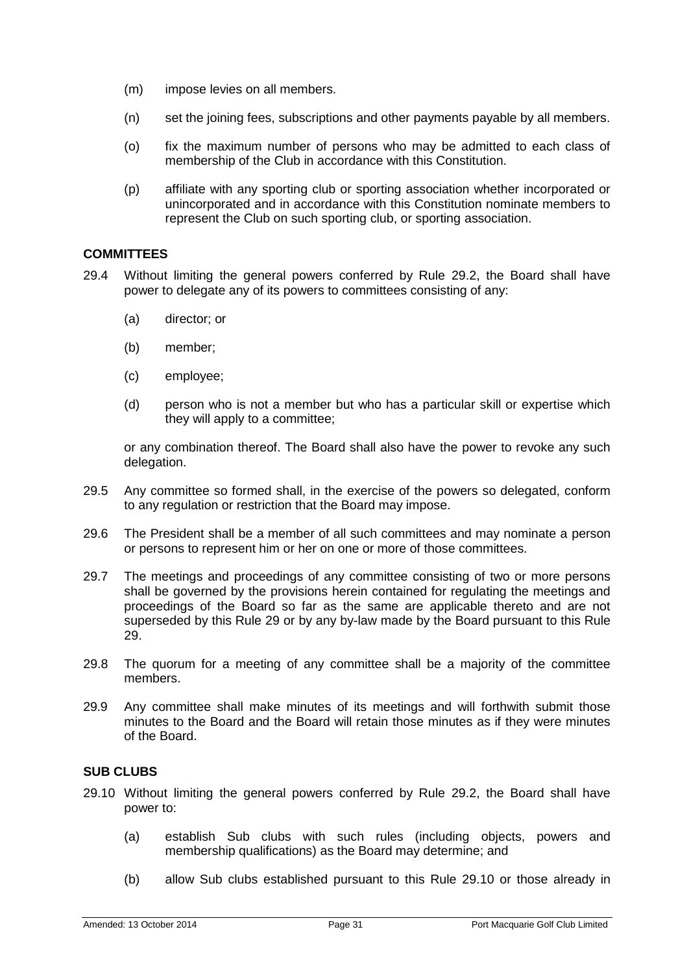- (m) impose levies on all members.
- (n) set the joining fees, subscriptions and other payments payable by all members.
- (o) fix the maximum number of persons who may be admitted to each class of membership of the Club in accordance with this Constitution.
- (p) affiliate with any sporting club or sporting association whether incorporated or unincorporated and in accordance with this Constitution nominate members to represent the Club on such sporting club, or sporting association.

#### **COMMITTEES**

- 29.4 Without limiting the general powers conferred by Rule [29.2,](#page-30-1) the Board shall have power to delegate any of its powers to committees consisting of any:
	- (a) director; or
	- (b) member;
	- (c) employee;
	- (d) person who is not a member but who has a particular skill or expertise which they will apply to a committee;

or any combination thereof. The Board shall also have the power to revoke any such delegation.

- 29.5 Any committee so formed shall, in the exercise of the powers so delegated, conform to any regulation or restriction that the Board may impose.
- 29.6 The President shall be a member of all such committees and may nominate a person or persons to represent him or her on one or more of those committees.
- 29.7 The meetings and proceedings of any committee consisting of two or more persons shall be governed by the provisions herein contained for regulating the meetings and proceedings of the Board so far as the same are applicable thereto and are not superseded by this Rule [29](#page-30-0) or by any by-law made by the Board pursuant to this Rule [29.](#page-30-0)
- 29.8 The quorum for a meeting of any committee shall be a majority of the committee members.
- 29.9 Any committee shall make minutes of its meetings and will forthwith submit those minutes to the Board and the Board will retain those minutes as if they were minutes of the Board.

#### **SUB CLUBS**

- <span id="page-32-0"></span>29.10 Without limiting the general powers conferred by Rule [29.2,](#page-30-1) the Board shall have power to:
	- (a) establish Sub clubs with such rules (including objects, powers and membership qualifications) as the Board may determine; and
	- (b) allow Sub clubs established pursuant to this Rule [29.10](#page-32-0) or those already in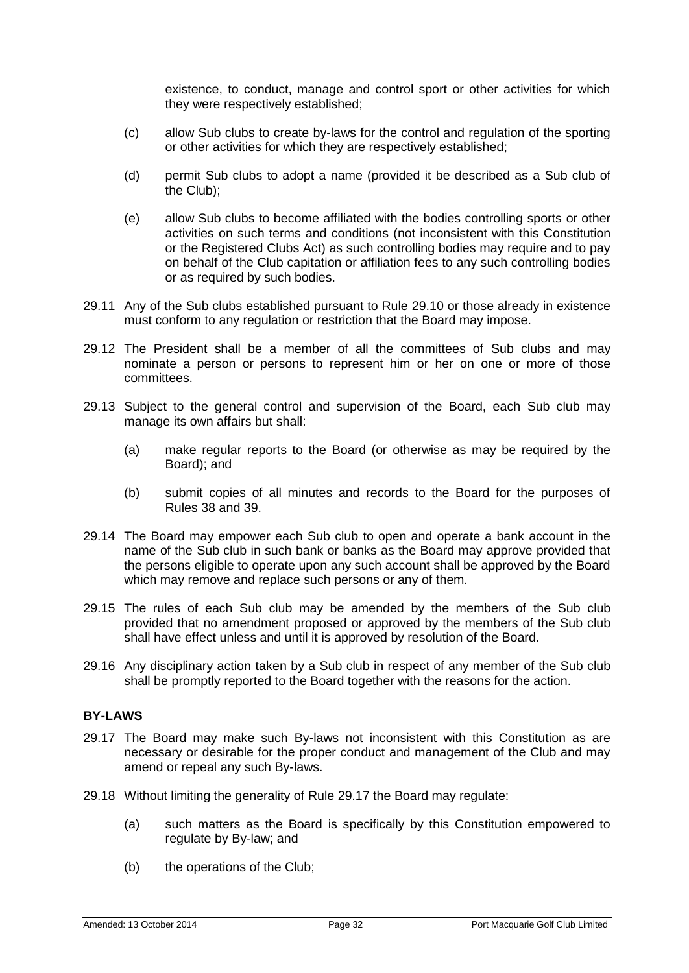existence, to conduct, manage and control sport or other activities for which they were respectively established;

- (c) allow Sub clubs to create by-laws for the control and regulation of the sporting or other activities for which they are respectively established;
- (d) permit Sub clubs to adopt a name (provided it be described as a Sub club of the Club);
- (e) allow Sub clubs to become affiliated with the bodies controlling sports or other activities on such terms and conditions (not inconsistent with this Constitution or the Registered Clubs Act) as such controlling bodies may require and to pay on behalf of the Club capitation or affiliation fees to any such controlling bodies or as required by such bodies.
- 29.11 Any of the Sub clubs established pursuant to Rule [29.10](#page-32-0) or those already in existence must conform to any regulation or restriction that the Board may impose.
- 29.12 The President shall be a member of all the committees of Sub clubs and may nominate a person or persons to represent him or her on one or more of those committees.
- 29.13 Subject to the general control and supervision of the Board, each Sub club may manage its own affairs but shall:
	- (a) make regular reports to the Board (or otherwise as may be required by the Board); and
	- (b) submit copies of all minutes and records to the Board for the purposes of Rules 38 and 39.
- 29.14 The Board may empower each Sub club to open and operate a bank account in the name of the Sub club in such bank or banks as the Board may approve provided that the persons eligible to operate upon any such account shall be approved by the Board which may remove and replace such persons or any of them.
- 29.15 The rules of each Sub club may be amended by the members of the Sub club provided that no amendment proposed or approved by the members of the Sub club shall have effect unless and until it is approved by resolution of the Board.
- 29.16 Any disciplinary action taken by a Sub club in respect of any member of the Sub club shall be promptly reported to the Board together with the reasons for the action.

#### **BY-LAWS**

- <span id="page-33-0"></span>29.17 The Board may make such By-laws not inconsistent with this Constitution as are necessary or desirable for the proper conduct and management of the Club and may amend or repeal any such By-laws.
- 29.18 Without limiting the generality of Rule [29.17](#page-33-0) the Board may regulate:
	- (a) such matters as the Board is specifically by this Constitution empowered to regulate by By-law; and
	- (b) the operations of the Club;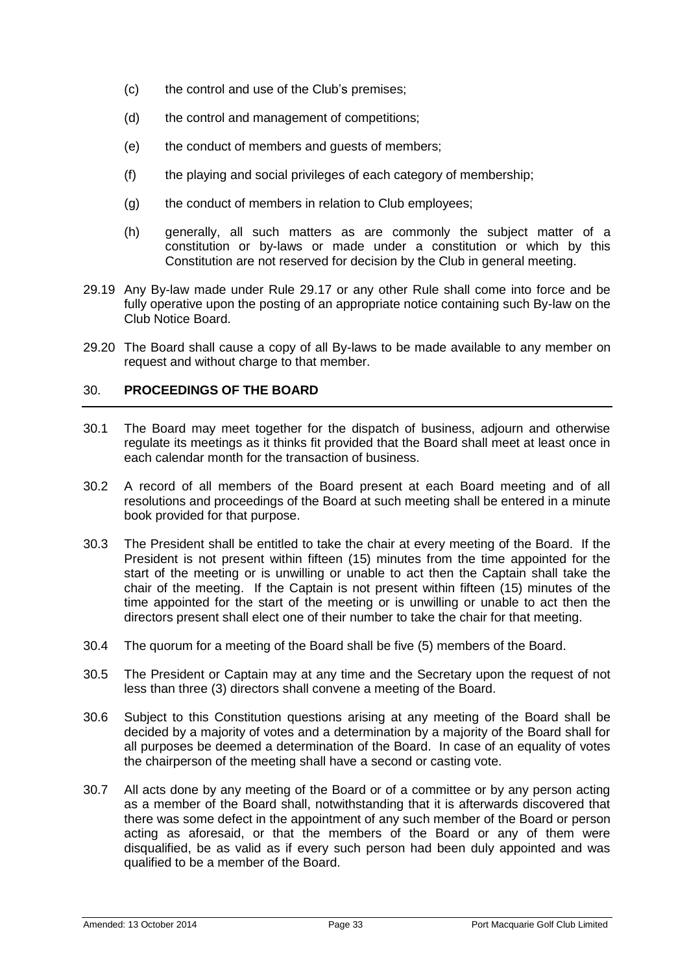- (c) the control and use of the Club's premises;
- (d) the control and management of competitions;
- (e) the conduct of members and guests of members;
- (f) the playing and social privileges of each category of membership;
- (g) the conduct of members in relation to Club employees;
- (h) generally, all such matters as are commonly the subject matter of a constitution or by-laws or made under a constitution or which by this Constitution are not reserved for decision by the Club in general meeting.
- 29.19 Any By-law made under Rule [29.17](#page-33-0) or any other Rule shall come into force and be fully operative upon the posting of an appropriate notice containing such By-law on the Club Notice Board.
- 29.20 The Board shall cause a copy of all By-laws to be made available to any member on request and without charge to that member.

#### <span id="page-34-0"></span>30. **PROCEEDINGS OF THE BOARD**

- 30.1 The Board may meet together for the dispatch of business, adjourn and otherwise regulate its meetings as it thinks fit provided that the Board shall meet at least once in each calendar month for the transaction of business.
- 30.2 A record of all members of the Board present at each Board meeting and of all resolutions and proceedings of the Board at such meeting shall be entered in a minute book provided for that purpose.
- 30.3 The President shall be entitled to take the chair at every meeting of the Board. If the President is not present within fifteen (15) minutes from the time appointed for the start of the meeting or is unwilling or unable to act then the Captain shall take the chair of the meeting. If the Captain is not present within fifteen (15) minutes of the time appointed for the start of the meeting or is unwilling or unable to act then the directors present shall elect one of their number to take the chair for that meeting.
- 30.4 The quorum for a meeting of the Board shall be five (5) members of the Board.
- 30.5 The President or Captain may at any time and the Secretary upon the request of not less than three (3) directors shall convene a meeting of the Board.
- 30.6 Subject to this Constitution questions arising at any meeting of the Board shall be decided by a majority of votes and a determination by a majority of the Board shall for all purposes be deemed a determination of the Board. In case of an equality of votes the chairperson of the meeting shall have a second or casting vote.
- 30.7 All acts done by any meeting of the Board or of a committee or by any person acting as a member of the Board shall, notwithstanding that it is afterwards discovered that there was some defect in the appointment of any such member of the Board or person acting as aforesaid, or that the members of the Board or any of them were disqualified, be as valid as if every such person had been duly appointed and was qualified to be a member of the Board.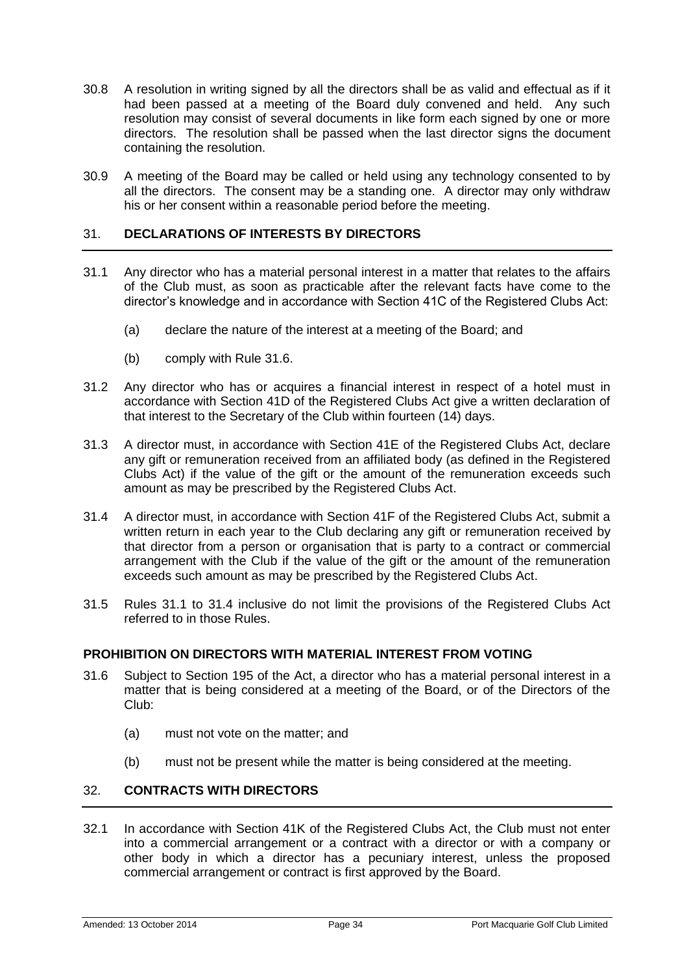- 30.8 A resolution in writing signed by all the directors shall be as valid and effectual as if it had been passed at a meeting of the Board duly convened and held. Any such resolution may consist of several documents in like form each signed by one or more directors. The resolution shall be passed when the last director signs the document containing the resolution.
- 30.9 A meeting of the Board may be called or held using any technology consented to by all the directors. The consent may be a standing one. A director may only withdraw his or her consent within a reasonable period before the meeting.

#### <span id="page-35-0"></span>31. **DECLARATIONS OF INTERESTS BY DIRECTORS**

- <span id="page-35-3"></span>31.1 Any director who has a material personal interest in a matter that relates to the affairs of the Club must, as soon as practicable after the relevant facts have come to the director's knowledge and in accordance with Section 41C of the Registered Clubs Act:
	- (a) declare the nature of the interest at a meeting of the Board; and
	- (b) comply with Rule [31.6.](#page-35-2)
- 31.2 Any director who has or acquires a financial interest in respect of a hotel must in accordance with Section 41D of the Registered Clubs Act give a written declaration of that interest to the Secretary of the Club within fourteen (14) days.
- 31.3 A director must, in accordance with Section 41E of the Registered Clubs Act, declare any gift or remuneration received from an affiliated body (as defined in the Registered Clubs Act) if the value of the gift or the amount of the remuneration exceeds such amount as may be prescribed by the Registered Clubs Act.
- <span id="page-35-4"></span>31.4 A director must, in accordance with Section 41F of the Registered Clubs Act, submit a written return in each year to the Club declaring any gift or remuneration received by that director from a person or organisation that is party to a contract or commercial arrangement with the Club if the value of the gift or the amount of the remuneration exceeds such amount as may be prescribed by the Registered Clubs Act.
- 31.5 Rules [31.1](#page-35-3) to [31.4](#page-35-4) inclusive do not limit the provisions of the Registered Clubs Act referred to in those Rules.

#### **PROHIBITION ON DIRECTORS WITH MATERIAL INTEREST FROM VOTING**

- <span id="page-35-2"></span>31.6 Subject to Section 195 of the Act, a director who has a material personal interest in a matter that is being considered at a meeting of the Board, or of the Directors of the Club:
	- (a) must not vote on the matter; and
	- (b) must not be present while the matter is being considered at the meeting.

### <span id="page-35-1"></span>32. **CONTRACTS WITH DIRECTORS**

<span id="page-35-5"></span>32.1 In accordance with Section 41K of the Registered Clubs Act, the Club must not enter into a commercial arrangement or a contract with a director or with a company or other body in which a director has a pecuniary interest, unless the proposed commercial arrangement or contract is first approved by the Board.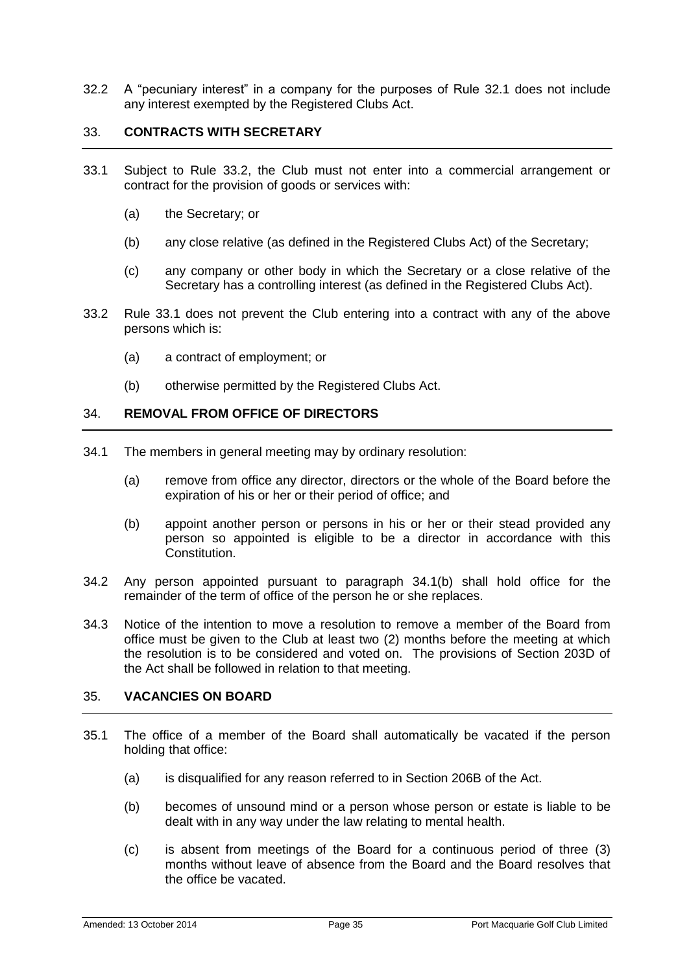32.2 A "pecuniary interest" in a company for the purposes of Rule [32.1](#page-35-5) does not include any interest exempted by the Registered Clubs Act.

#### <span id="page-36-0"></span>33. **CONTRACTS WITH SECRETARY**

- <span id="page-36-4"></span>33.1 Subject to Rule [33.2,](#page-36-3) the Club must not enter into a commercial arrangement or contract for the provision of goods or services with:
	- (a) the Secretary; or
	- (b) any close relative (as defined in the Registered Clubs Act) of the Secretary;
	- (c) any company or other body in which the Secretary or a close relative of the Secretary has a controlling interest (as defined in the Registered Clubs Act).
- <span id="page-36-3"></span>33.2 Rule [33.1](#page-36-4) does not prevent the Club entering into a contract with any of the above persons which is:
	- (a) a contract of employment; or
	- (b) otherwise permitted by the Registered Clubs Act.

#### <span id="page-36-1"></span>34. **REMOVAL FROM OFFICE OF DIRECTORS**

- 34.1 The members in general meeting may by ordinary resolution:
	- (a) remove from office any director, directors or the whole of the Board before the expiration of his or her or their period of office; and
	- (b) appoint another person or persons in his or her or their stead provided any person so appointed is eligible to be a director in accordance with this Constitution.
- <span id="page-36-5"></span>34.2 Any person appointed pursuant to paragraph [34.1\(b\)](#page-36-5) shall hold office for the remainder of the term of office of the person he or she replaces.
- 34.3 Notice of the intention to move a resolution to remove a member of the Board from office must be given to the Club at least two (2) months before the meeting at which the resolution is to be considered and voted on. The provisions of Section 203D of the Act shall be followed in relation to that meeting.

#### <span id="page-36-2"></span>35. **VACANCIES ON BOARD**

- 35.1 The office of a member of the Board shall automatically be vacated if the person holding that office:
	- (a) is disqualified for any reason referred to in Section 206B of the Act.
	- (b) becomes of unsound mind or a person whose person or estate is liable to be dealt with in any way under the law relating to mental health.
	- (c) is absent from meetings of the Board for a continuous period of three (3) months without leave of absence from the Board and the Board resolves that the office be vacated.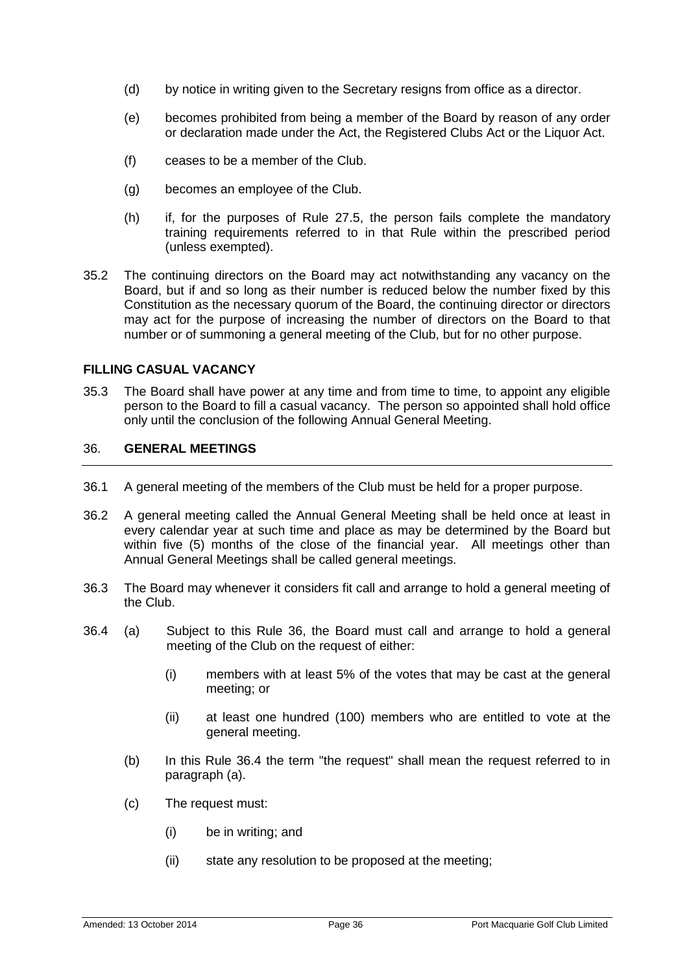- (d) by notice in writing given to the Secretary resigns from office as a director.
- (e) becomes prohibited from being a member of the Board by reason of any order or declaration made under the Act, the Registered Clubs Act or the Liquor Act.
- (f) ceases to be a member of the Club.
- (g) becomes an employee of the Club.
- (h) if, for the purposes of Rule [27.5,](#page-28-1) the person fails complete the mandatory training requirements referred to in that Rule within the prescribed period (unless exempted).
- 35.2 The continuing directors on the Board may act notwithstanding any vacancy on the Board, but if and so long as their number is reduced below the number fixed by this Constitution as the necessary quorum of the Board, the continuing director or directors may act for the purpose of increasing the number of directors on the Board to that number or of summoning a general meeting of the Club, but for no other purpose.

#### **FILLING CASUAL VACANCY**

<span id="page-37-1"></span>35.3 The Board shall have power at any time and from time to time, to appoint any eligible person to the Board to fill a casual vacancy. The person so appointed shall hold office only until the conclusion of the following Annual General Meeting.

#### <span id="page-37-0"></span>36. **GENERAL MEETINGS**

- 36.1 A general meeting of the members of the Club must be held for a proper purpose.
- 36.2 A general meeting called the Annual General Meeting shall be held once at least in every calendar year at such time and place as may be determined by the Board but within five (5) months of the close of the financial year. All meetings other than Annual General Meetings shall be called general meetings.
- 36.3 The Board may whenever it considers fit call and arrange to hold a general meeting of the Club.
- <span id="page-37-2"></span>36.4 (a) Subject to this Rule [36,](#page-37-0) the Board must call and arrange to hold a general meeting of the Club on the request of either:
	- (i) members with at least 5% of the votes that may be cast at the general meeting; or
	- (ii) at least one hundred (100) members who are entitled to vote at the general meeting.
	- (b) In this Rule [36.4](#page-37-2) the term "the request" shall mean the request referred to in paragraph (a).
	- (c) The request must:
		- (i) be in writing; and
		- (ii) state any resolution to be proposed at the meeting;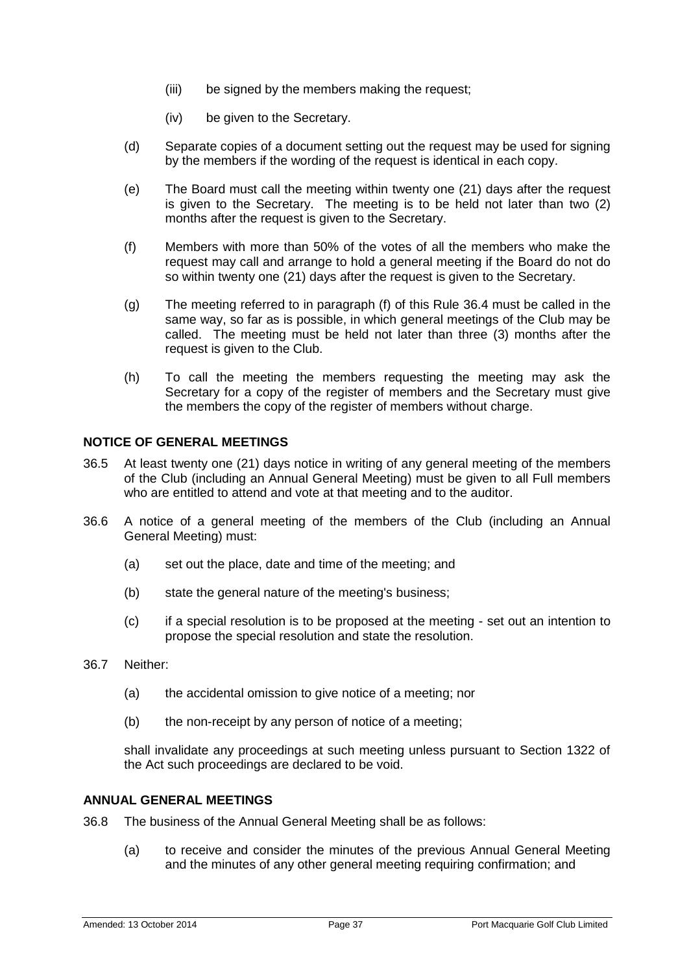- (iii) be signed by the members making the request;
- (iv) be given to the Secretary.
- (d) Separate copies of a document setting out the request may be used for signing by the members if the wording of the request is identical in each copy.
- (e) The Board must call the meeting within twenty one (21) days after the request is given to the Secretary. The meeting is to be held not later than two (2) months after the request is given to the Secretary.
- (f) Members with more than 50% of the votes of all the members who make the request may call and arrange to hold a general meeting if the Board do not do so within twenty one (21) days after the request is given to the Secretary.
- (g) The meeting referred to in paragraph (f) of this Rule [36.4](#page-37-2) must be called in the same way, so far as is possible, in which general meetings of the Club may be called. The meeting must be held not later than three (3) months after the request is given to the Club.
- (h) To call the meeting the members requesting the meeting may ask the Secretary for a copy of the register of members and the Secretary must give the members the copy of the register of members without charge.

#### **NOTICE OF GENERAL MEETINGS**

- 36.5 At least twenty one (21) days notice in writing of any general meeting of the members of the Club (including an Annual General Meeting) must be given to all Full members who are entitled to attend and vote at that meeting and to the auditor.
- 36.6 A notice of a general meeting of the members of the Club (including an Annual General Meeting) must:
	- (a) set out the place, date and time of the meeting; and
	- (b) state the general nature of the meeting's business;
	- (c) if a special resolution is to be proposed at the meeting set out an intention to propose the special resolution and state the resolution.
- 36.7 Neither:
	- (a) the accidental omission to give notice of a meeting; nor
	- (b) the non-receipt by any person of notice of a meeting;

shall invalidate any proceedings at such meeting unless pursuant to Section 1322 of the Act such proceedings are declared to be void.

#### **ANNUAL GENERAL MEETINGS**

- 36.8 The business of the Annual General Meeting shall be as follows:
	- (a) to receive and consider the minutes of the previous Annual General Meeting and the minutes of any other general meeting requiring confirmation; and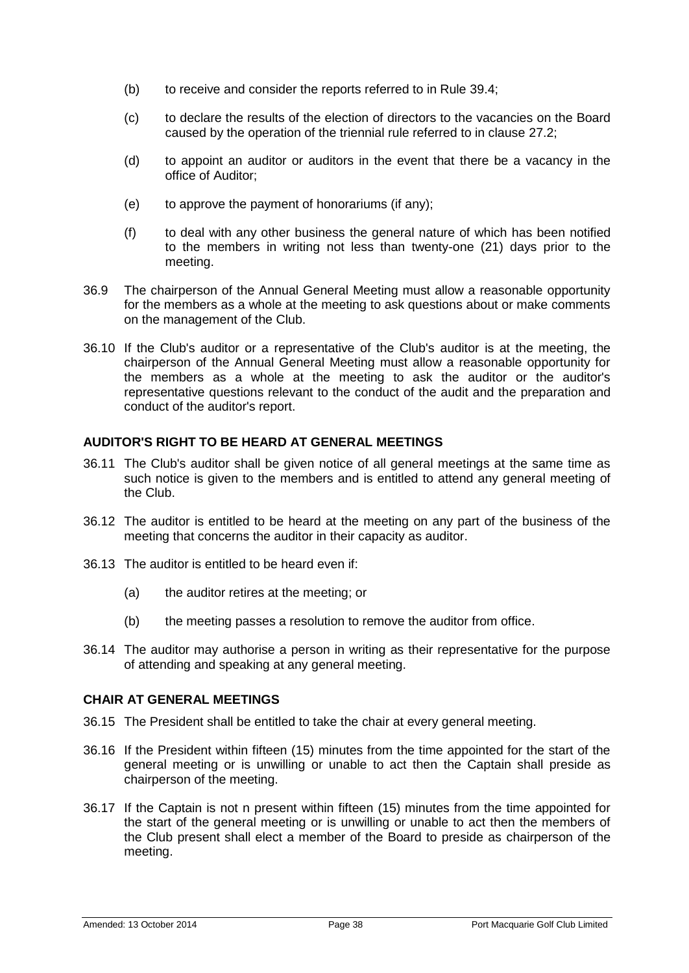- (b) to receive and consider the reports referred to in Rule [39.4;](#page-44-3)
- (c) to declare the results of the election of directors to the vacancies on the Board caused by the operation of the triennial rule referred to in clause [27.2;](#page-27-0)
- (d) to appoint an auditor or auditors in the event that there be a vacancy in the office of Auditor;
- (e) to approve the payment of honorariums (if any);
- (f) to deal with any other business the general nature of which has been notified to the members in writing not less than twenty-one (21) days prior to the meeting.
- 36.9 The chairperson of the Annual General Meeting must allow a reasonable opportunity for the members as a whole at the meeting to ask questions about or make comments on the management of the Club.
- 36.10 If the Club's auditor or a representative of the Club's auditor is at the meeting, the chairperson of the Annual General Meeting must allow a reasonable opportunity for the members as a whole at the meeting to ask the auditor or the auditor's representative questions relevant to the conduct of the audit and the preparation and conduct of the auditor's report.

#### **AUDITOR'S RIGHT TO BE HEARD AT GENERAL MEETINGS**

- 36.11 The Club's auditor shall be given notice of all general meetings at the same time as such notice is given to the members and is entitled to attend any general meeting of the Club.
- 36.12 The auditor is entitled to be heard at the meeting on any part of the business of the meeting that concerns the auditor in their capacity as auditor.
- 36.13 The auditor is entitled to be heard even if:
	- (a) the auditor retires at the meeting; or
	- (b) the meeting passes a resolution to remove the auditor from office.
- 36.14 The auditor may authorise a person in writing as their representative for the purpose of attending and speaking at any general meeting.

#### **CHAIR AT GENERAL MEETINGS**

- 36.15 The President shall be entitled to take the chair at every general meeting.
- 36.16 If the President within fifteen (15) minutes from the time appointed for the start of the general meeting or is unwilling or unable to act then the Captain shall preside as chairperson of the meeting.
- 36.17 If the Captain is not n present within fifteen (15) minutes from the time appointed for the start of the general meeting or is unwilling or unable to act then the members of the Club present shall elect a member of the Board to preside as chairperson of the meeting.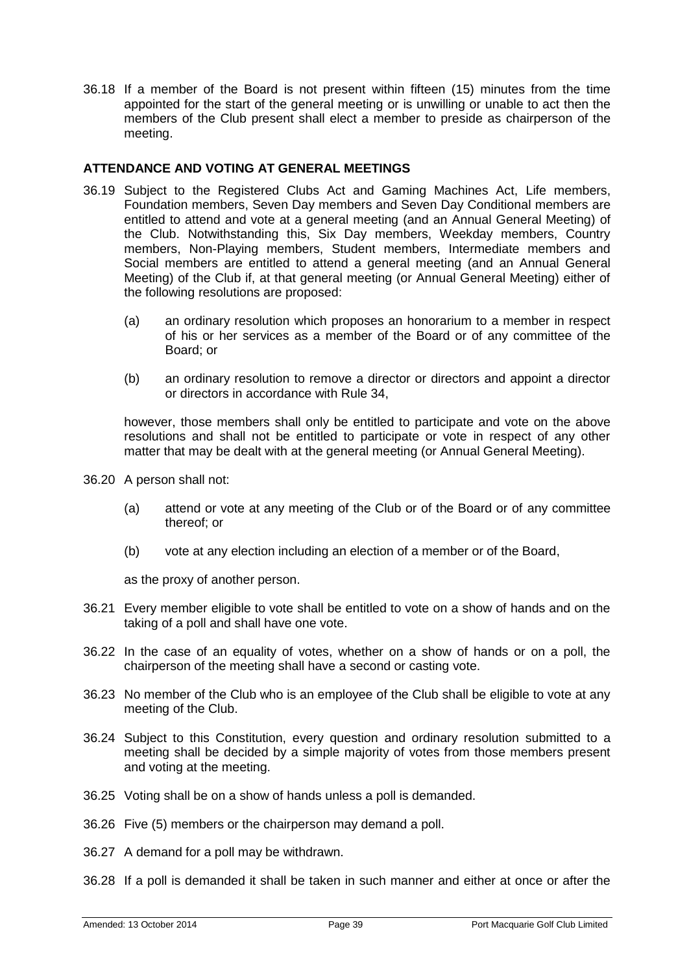36.18 If a member of the Board is not present within fifteen (15) minutes from the time appointed for the start of the general meeting or is unwilling or unable to act then the members of the Club present shall elect a member to preside as chairperson of the meeting.

#### **ATTENDANCE AND VOTING AT GENERAL MEETINGS**

- <span id="page-40-0"></span>36.19 Subject to the Registered Clubs Act and Gaming Machines Act, Life members, Foundation members, Seven Day members and Seven Day Conditional members are entitled to attend and vote at a general meeting (and an Annual General Meeting) of the Club. Notwithstanding this, Six Day members, Weekday members, Country members, Non-Playing members, Student members, Intermediate members and Social members are entitled to attend a general meeting (and an Annual General Meeting) of the Club if, at that general meeting (or Annual General Meeting) either of the following resolutions are proposed:
	- (a) an ordinary resolution which proposes an honorarium to a member in respect of his or her services as a member of the Board or of any committee of the Board; or
	- (b) an ordinary resolution to remove a director or directors and appoint a director or directors in accordance with Rule 34,

however, those members shall only be entitled to participate and vote on the above resolutions and shall not be entitled to participate or vote in respect of any other matter that may be dealt with at the general meeting (or Annual General Meeting).

- 36.20 A person shall not:
	- (a) attend or vote at any meeting of the Club or of the Board or of any committee thereof; or
	- (b) vote at any election including an election of a member or of the Board,

as the proxy of another person.

- 36.21 Every member eligible to vote shall be entitled to vote on a show of hands and on the taking of a poll and shall have one vote.
- 36.22 In the case of an equality of votes, whether on a show of hands or on a poll, the chairperson of the meeting shall have a second or casting vote.
- 36.23 No member of the Club who is an employee of the Club shall be eligible to vote at any meeting of the Club.
- 36.24 Subject to this Constitution, every question and ordinary resolution submitted to a meeting shall be decided by a simple majority of votes from those members present and voting at the meeting.
- 36.25 Voting shall be on a show of hands unless a poll is demanded.
- 36.26 Five (5) members or the chairperson may demand a poll.
- 36.27 A demand for a poll may be withdrawn.
- 36.28 If a poll is demanded it shall be taken in such manner and either at once or after the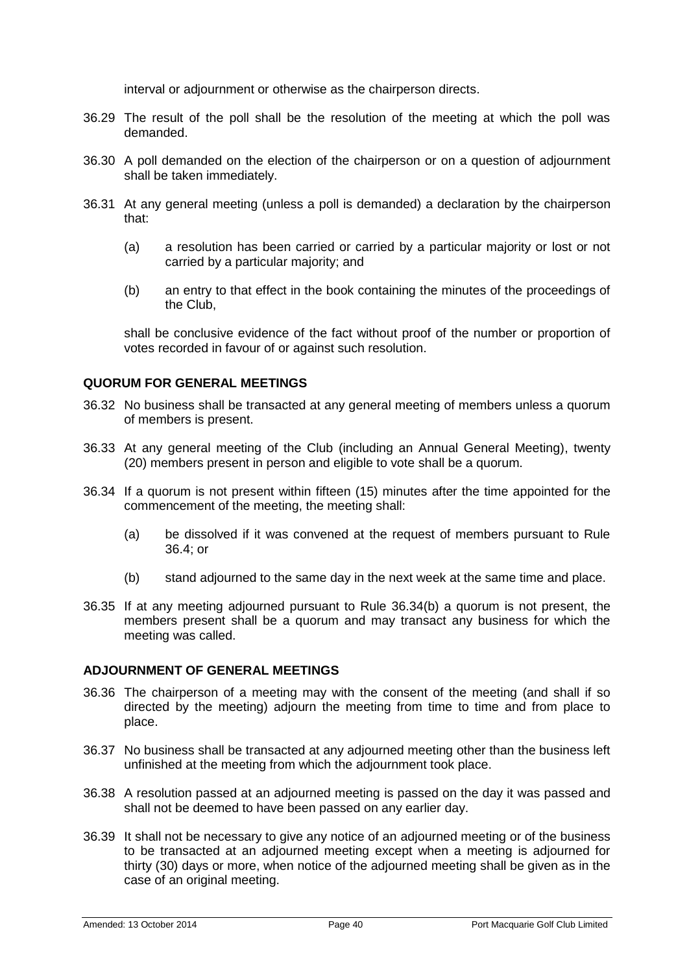interval or adjournment or otherwise as the chairperson directs.

- 36.29 The result of the poll shall be the resolution of the meeting at which the poll was demanded.
- 36.30 A poll demanded on the election of the chairperson or on a question of adjournment shall be taken immediately.
- 36.31 At any general meeting (unless a poll is demanded) a declaration by the chairperson that:
	- (a) a resolution has been carried or carried by a particular majority or lost or not carried by a particular majority; and
	- (b) an entry to that effect in the book containing the minutes of the proceedings of the Club,

shall be conclusive evidence of the fact without proof of the number or proportion of votes recorded in favour of or against such resolution.

#### **QUORUM FOR GENERAL MEETINGS**

- 36.32 No business shall be transacted at any general meeting of members unless a quorum of members is present.
- 36.33 At any general meeting of the Club (including an Annual General Meeting), twenty (20) members present in person and eligible to vote shall be a quorum.
- 36.34 If a quorum is not present within fifteen (15) minutes after the time appointed for the commencement of the meeting, the meeting shall:
	- (a) be dissolved if it was convened at the request of members pursuant to Rule [36.4;](#page-37-2) or
	- (b) stand adjourned to the same day in the next week at the same time and place.
- <span id="page-41-0"></span>36.35 If at any meeting adjourned pursuant to Rule [36.34\(b\)](#page-41-0) a quorum is not present, the members present shall be a quorum and may transact any business for which the meeting was called.

#### **ADJOURNMENT OF GENERAL MEETINGS**

- 36.36 The chairperson of a meeting may with the consent of the meeting (and shall if so directed by the meeting) adjourn the meeting from time to time and from place to place.
- 36.37 No business shall be transacted at any adjourned meeting other than the business left unfinished at the meeting from which the adjournment took place.
- 36.38 A resolution passed at an adjourned meeting is passed on the day it was passed and shall not be deemed to have been passed on any earlier day.
- 36.39 It shall not be necessary to give any notice of an adjourned meeting or of the business to be transacted at an adjourned meeting except when a meeting is adjourned for thirty (30) days or more, when notice of the adjourned meeting shall be given as in the case of an original meeting.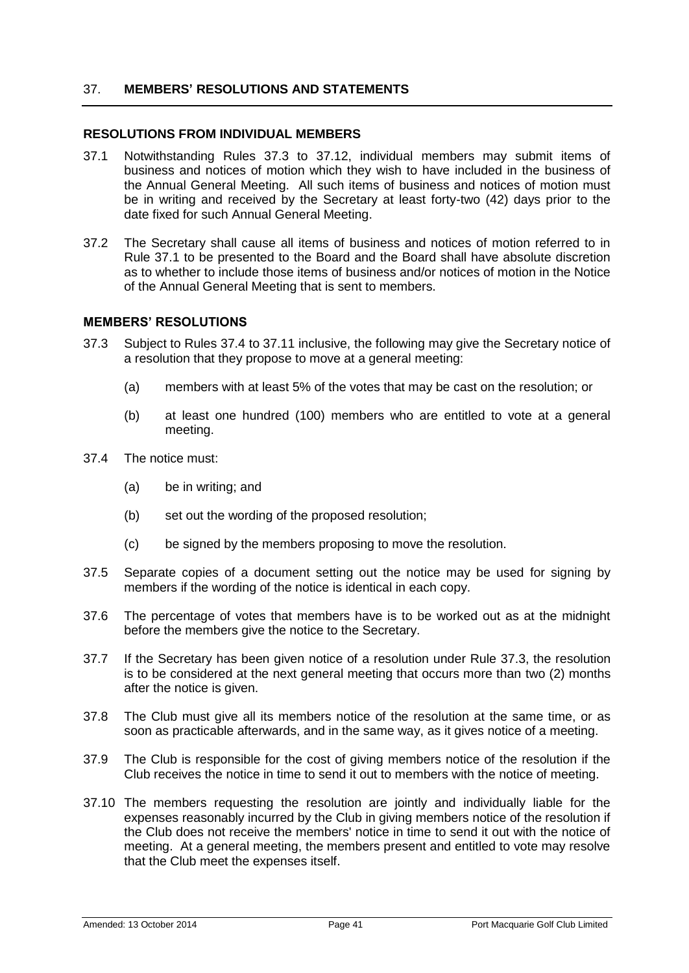#### <span id="page-42-0"></span>37. **MEMBERS' RESOLUTIONS AND STATEMENTS**

#### **RESOLUTIONS FROM INDIVIDUAL MEMBERS**

- <span id="page-42-2"></span>37.1 Notwithstanding Rules [37.3](#page-42-1) to [37.12,](#page-43-0) individual members may submit items of business and notices of motion which they wish to have included in the business of the Annual General Meeting. All such items of business and notices of motion must be in writing and received by the Secretary at least forty-two (42) days prior to the date fixed for such Annual General Meeting.
- 37.2 The Secretary shall cause all items of business and notices of motion referred to in Rule [37.1](#page-42-2) to be presented to the Board and the Board shall have absolute discretion as to whether to include those items of business and/or notices of motion in the Notice of the Annual General Meeting that is sent to members.

#### **MEMBERS' RESOLUTIONS**

- <span id="page-42-1"></span>37.3 Subject to Rules [37.4](#page-42-3) to [37.11](#page-43-1) inclusive, the following may give the Secretary notice of a resolution that they propose to move at a general meeting:
	- (a) members with at least 5% of the votes that may be cast on the resolution; or
	- (b) at least one hundred (100) members who are entitled to vote at a general meeting.
- <span id="page-42-3"></span>37.4 The notice must:
	- (a) be in writing; and
	- (b) set out the wording of the proposed resolution;
	- (c) be signed by the members proposing to move the resolution.
- 37.5 Separate copies of a document setting out the notice may be used for signing by members if the wording of the notice is identical in each copy.
- 37.6 The percentage of votes that members have is to be worked out as at the midnight before the members give the notice to the Secretary.
- 37.7 If the Secretary has been given notice of a resolution under Rule [37.3,](#page-42-1) the resolution is to be considered at the next general meeting that occurs more than two (2) months after the notice is given.
- 37.8 The Club must give all its members notice of the resolution at the same time, or as soon as practicable afterwards, and in the same way, as it gives notice of a meeting.
- 37.9 The Club is responsible for the cost of giving members notice of the resolution if the Club receives the notice in time to send it out to members with the notice of meeting.
- 37.10 The members requesting the resolution are jointly and individually liable for the expenses reasonably incurred by the Club in giving members notice of the resolution if the Club does not receive the members' notice in time to send it out with the notice of meeting. At a general meeting, the members present and entitled to vote may resolve that the Club meet the expenses itself.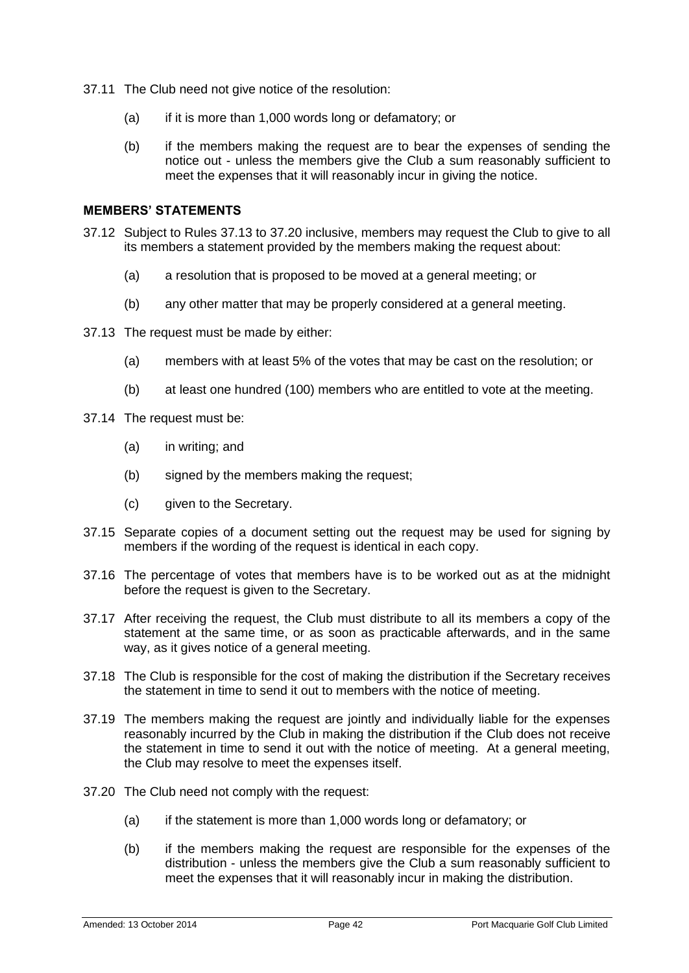- <span id="page-43-1"></span>37.11 The Club need not give notice of the resolution:
	- (a) if it is more than 1,000 words long or defamatory; or
	- (b) if the members making the request are to bear the expenses of sending the notice out - unless the members give the Club a sum reasonably sufficient to meet the expenses that it will reasonably incur in giving the notice.

#### **MEMBERS' STATEMENTS**

- <span id="page-43-0"></span>37.12 Subject to Rules [37.13](#page-43-2) to [37.20](#page-43-3) inclusive, members may request the Club to give to all its members a statement provided by the members making the request about:
	- (a) a resolution that is proposed to be moved at a general meeting; or
	- (b) any other matter that may be properly considered at a general meeting.
- <span id="page-43-2"></span>37.13 The request must be made by either:
	- (a) members with at least 5% of the votes that may be cast on the resolution; or
	- (b) at least one hundred (100) members who are entitled to vote at the meeting.
- 37.14 The request must be:
	- (a) in writing; and
	- (b) signed by the members making the request;
	- (c) given to the Secretary.
- 37.15 Separate copies of a document setting out the request may be used for signing by members if the wording of the request is identical in each copy.
- 37.16 The percentage of votes that members have is to be worked out as at the midnight before the request is given to the Secretary.
- 37.17 After receiving the request, the Club must distribute to all its members a copy of the statement at the same time, or as soon as practicable afterwards, and in the same way, as it gives notice of a general meeting.
- 37.18 The Club is responsible for the cost of making the distribution if the Secretary receives the statement in time to send it out to members with the notice of meeting.
- 37.19 The members making the request are jointly and individually liable for the expenses reasonably incurred by the Club in making the distribution if the Club does not receive the statement in time to send it out with the notice of meeting. At a general meeting, the Club may resolve to meet the expenses itself.
- <span id="page-43-3"></span>37.20 The Club need not comply with the request:
	- (a) if the statement is more than 1,000 words long or defamatory; or
	- (b) if the members making the request are responsible for the expenses of the distribution - unless the members give the Club a sum reasonably sufficient to meet the expenses that it will reasonably incur in making the distribution.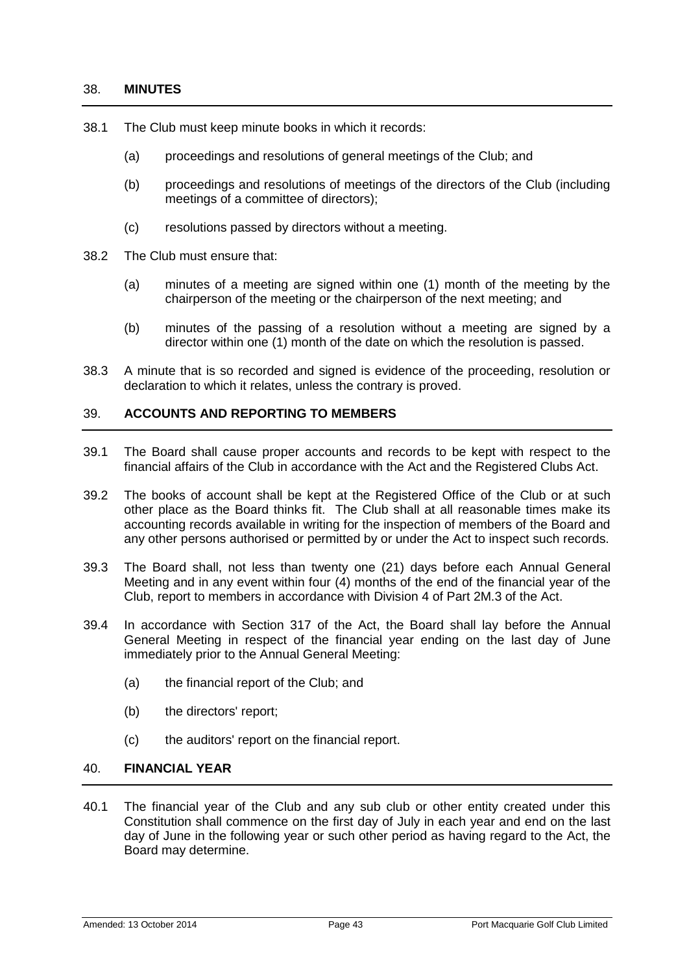#### <span id="page-44-0"></span>38. **MINUTES**

- 38.1 The Club must keep minute books in which it records:
	- (a) proceedings and resolutions of general meetings of the Club; and
	- (b) proceedings and resolutions of meetings of the directors of the Club (including meetings of a committee of directors);
	- (c) resolutions passed by directors without a meeting.
- 38.2 The Club must ensure that:
	- (a) minutes of a meeting are signed within one (1) month of the meeting by the chairperson of the meeting or the chairperson of the next meeting; and
	- (b) minutes of the passing of a resolution without a meeting are signed by a director within one (1) month of the date on which the resolution is passed.
- 38.3 A minute that is so recorded and signed is evidence of the proceeding, resolution or declaration to which it relates, unless the contrary is proved.

#### <span id="page-44-1"></span>39. **ACCOUNTS AND REPORTING TO MEMBERS**

- 39.1 The Board shall cause proper accounts and records to be kept with respect to the financial affairs of the Club in accordance with the Act and the Registered Clubs Act.
- 39.2 The books of account shall be kept at the Registered Office of the Club or at such other place as the Board thinks fit. The Club shall at all reasonable times make its accounting records available in writing for the inspection of members of the Board and any other persons authorised or permitted by or under the Act to inspect such records.
- 39.3 The Board shall, not less than twenty one (21) days before each Annual General Meeting and in any event within four (4) months of the end of the financial year of the Club, report to members in accordance with Division 4 of Part 2M.3 of the Act.
- <span id="page-44-3"></span>39.4 In accordance with Section 317 of the Act, the Board shall lay before the Annual General Meeting in respect of the financial year ending on the last day of June immediately prior to the Annual General Meeting:
	- (a) the financial report of the Club; and
	- (b) the directors' report;
	- (c) the auditors' report on the financial report.

#### <span id="page-44-2"></span>40. **FINANCIAL YEAR**

40.1 The financial year of the Club and any sub club or other entity created under this Constitution shall commence on the first day of July in each year and end on the last day of June in the following year or such other period as having regard to the Act, the Board may determine.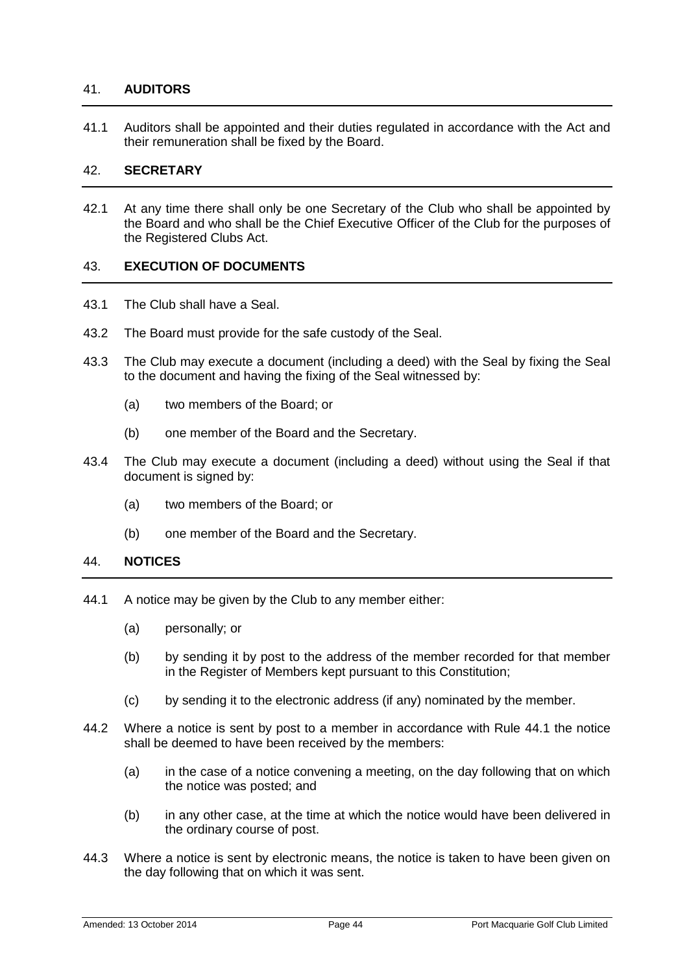#### <span id="page-45-0"></span>41. **AUDITORS**

41.1 Auditors shall be appointed and their duties regulated in accordance with the Act and their remuneration shall be fixed by the Board.

#### <span id="page-45-1"></span>42. **SECRETARY**

42.1 At any time there shall only be one Secretary of the Club who shall be appointed by the Board and who shall be the Chief Executive Officer of the Club for the purposes of the Registered Clubs Act.

#### <span id="page-45-2"></span>43. **EXECUTION OF DOCUMENTS**

- 43.1 The Club shall have a Seal.
- 43.2 The Board must provide for the safe custody of the Seal.
- 43.3 The Club may execute a document (including a deed) with the Seal by fixing the Seal to the document and having the fixing of the Seal witnessed by:
	- (a) two members of the Board; or
	- (b) one member of the Board and the Secretary.
- 43.4 The Club may execute a document (including a deed) without using the Seal if that document is signed by:
	- (a) two members of the Board; or
	- (b) one member of the Board and the Secretary.

#### <span id="page-45-3"></span>44. **NOTICES**

- <span id="page-45-4"></span>44.1 A notice may be given by the Club to any member either:
	- (a) personally; or
	- (b) by sending it by post to the address of the member recorded for that member in the Register of Members kept pursuant to this Constitution;
	- (c) by sending it to the electronic address (if any) nominated by the member.
- 44.2 Where a notice is sent by post to a member in accordance with Rule [44.1](#page-45-4) the notice shall be deemed to have been received by the members:
	- (a) in the case of a notice convening a meeting, on the day following that on which the notice was posted; and
	- (b) in any other case, at the time at which the notice would have been delivered in the ordinary course of post.
- 44.3 Where a notice is sent by electronic means, the notice is taken to have been given on the day following that on which it was sent.